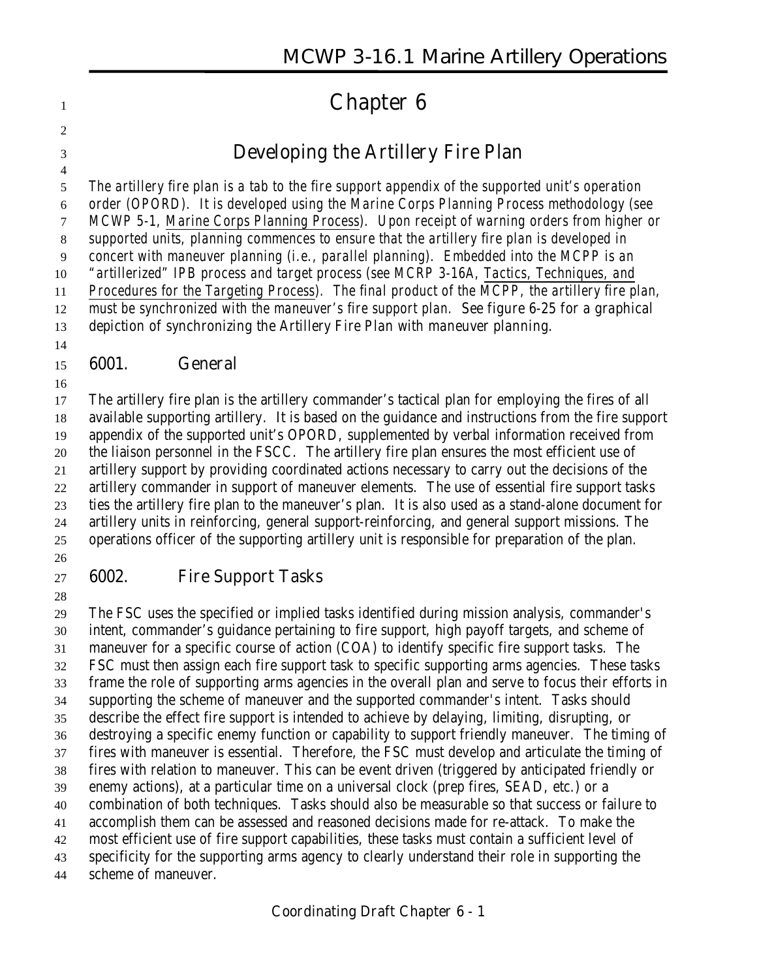# **Chapter 6**

# **Developing the Artillery Fire Plan**

 *The artillery fire plan is a tab to the fire support appendix of the supported unit's operation order (OPORD). It is developed using the Marine Corps Planning Process methodology (see MCWP 5-1, Marine Corps Planning Process). Upon receipt of warning orders from higher or supported units, planning commences to ensure that the artillery fire plan is developed in concert with maneuver planning (i.e., parallel planning). Embedded into the MCPP is an "artillerized" IPB process and target process (see MCRP 3-16A, Tactics, Techniques, and Procedures for the Targeting Process). The final product of the MCPP, the artillery fire plan, must be synchronized with the maneuver's fire support plan. See figure 6-25 for a graphical depiction of synchronizing the Artillery Fire Plan with maneuver planning.* 

#### **6001. General**

 The artillery fire plan is the artillery commander's tactical plan for employing the fires of all available supporting artillery. It is based on the guidance and instructions from the fire support appendix of the supported unit's OPORD, supplemented by verbal information received from the liaison personnel in the FSCC. The artillery fire plan ensures the most efficient use of artillery support by providing coordinated actions necessary to carry out the decisions of the artillery commander in support of maneuver elements. The use of essential fire support tasks ties the artillery fire plan to the maneuver's plan. It is also used as a stand-alone document for artillery units in reinforcing, general support-reinforcing, and general support missions. The operations officer of the supporting artillery unit is responsible for preparation of the plan.

# 

## **6002. Fire Support Tasks**

 The FSC uses the specified or implied tasks identified during mission analysis, commander's intent, commander's guidance pertaining to fire support, high payoff targets, and scheme of maneuver for a specific course of action (COA) to identify specific fire support tasks. The FSC must then assign each fire support task to specific supporting arms agencies. These tasks frame the role of supporting arms agencies in the overall plan and serve to focus their efforts in supporting the scheme of maneuver and the supported commander's intent. Tasks should describe the effect fire support is intended to achieve by delaying, limiting, disrupting, or destroying a specific enemy function or capability to support friendly maneuver. The timing of fires with maneuver is essential. Therefore, the FSC must develop and articulate the timing of fires with relation to maneuver. This can be event driven (triggered by anticipated friendly or enemy actions), at a particular time on a universal clock (prep fires, SEAD, etc.) or a combination of both techniques. Tasks should also be measurable so that success or failure to accomplish them can be assessed and reasoned decisions made for re-attack. To make the most efficient use of fire support capabilities, these tasks must contain a sufficient level of specificity for the supporting arms agency to clearly understand their role in supporting the scheme of maneuver.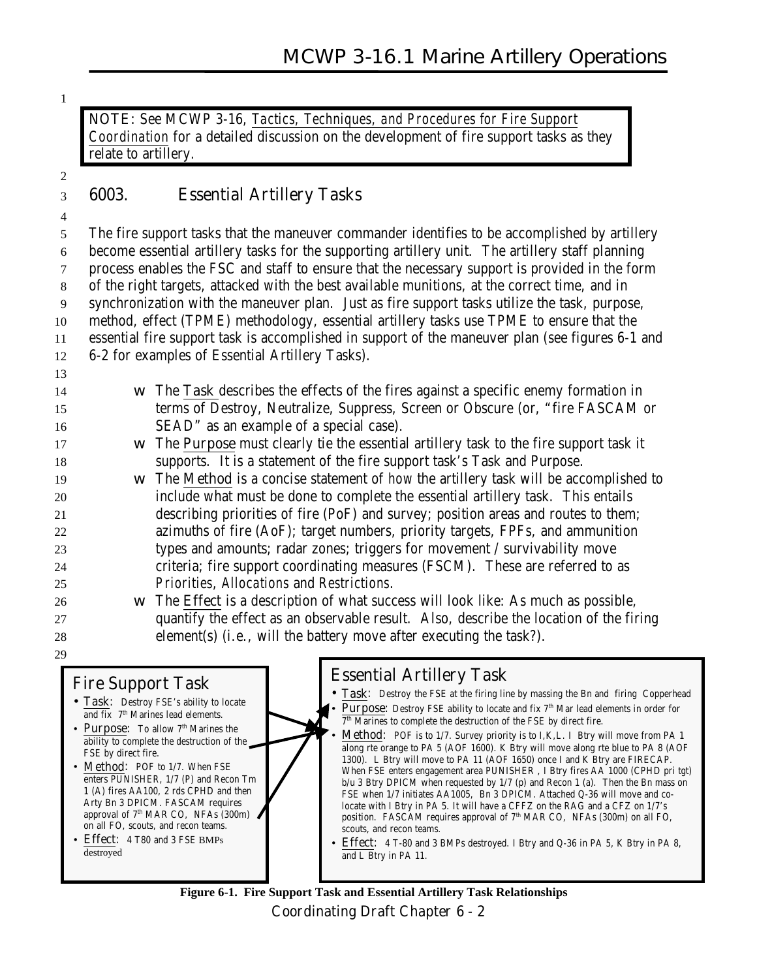**NOTE:** See MCWP 3-16, *Tactics, Techniques, and Procedures for Fire Support Coordination* for a detailed discussion on the development of fire support tasks as they relate to artillery.

#### 2

## 3 **6003. Essential Artillery Tasks**

4

 The fire support tasks that the maneuver commander identifies to be accomplished by artillery become essential artillery tasks for the supporting artillery unit. The artillery staff planning process enables the FSC and staff to ensure that the necessary support is provided in the form of the right targets, attacked with the best available munitions, at the correct time, and in synchronization with the maneuver plan. Just as fire support tasks utilize the task, purpose, method, effect (TPME) methodology, essential artillery tasks use TPME to ensure that the essential fire support task is accomplished in support of the maneuver plan (see figures 6-1 and 6-2 for examples of Essential Artillery Tasks). 13

- 14 w The **Task** describes the **effects** of the fires against a specific enemy formation in 15 terms of Destroy, Neutralize, Suppress, Screen or Obscure (or, "fire FASCAM or 16 SEAD" as an example of a special case).
- 17 w The **Purpose** must clearly tie the essential artillery task to the fire support task it 18 supports. It is a statement of the fire support task's Task and Purpose.
- 19 w The **Method** is a concise statement of *how* the artillery task will be accomplished to 20 include what must be done to complete the essential artillery task. This entails 21 describing priorities of fire (PoF) and survey; position areas and routes to them; 22 azimuths of fire (AoF); target numbers, priority targets, FPFs, and ammunition 23 types and amounts; radar zones; triggers for movement / survivability move 24 criteria; fire support coordinating measures (FSCM). These are referred to as 25 *Priorities*, *Allocations* and *Restrictions*.
- 26 w The **Effect** is a description of what success will look like: As much as possible, 27 quantify the effect as an observable result. Also, describe the location of the firing 28 element(s) (i.e., will the battery move after executing the task?).

## **Fire Support Task**

29

- **Task**: Destroy FSE's ability to locate and fix 7<sup>th</sup> Marines lead elements.
- **Purpose:** To allow 7<sup>th</sup> Marines the ability to complete the destruction of the FSE by direct fire.
- Method: POF to 1/7. When FSE enters PUNISHER, 1/7 (P) and Recon Tm 1 (A) fires AA100, 2 rds CPHD and then Arty Bn 3 DPICM. FASCAM requires approval of 7<sup>th</sup> MAR CO, NFAs (300m) on all FO, scouts, and recon teams.
- **Effect**: 4 T80 and 3 FSE BMPs destroyed

# **Essential Artillery Task**

- **Task**: Destroy the FSE at the firing line by massing the Bn and firing Copperhead
	- **Purpose:** Destroy FSE ability to locate and fix 7<sup>th</sup> Mar lead elements in order for  $7<sup>th</sup>$  Marines to complete the destruction of the FSE by direct fire.
- **Method:** POF is to 1/7. Survey priority is to I, K, L. I Btry will move from PA 1 along rte orange to PA 5 (AOF 1600). K Btry will move along rte blue to PA 8 (AOF 1300). L Btry will move to PA 11 (AOF 1650) once I and K Btry are FIRECAP. When FSE enters engagement area PUNISHER , I Btry fires AA 1000 (CPHD pri tgt) b/u 3 Btry DPICM when requested by 1/7 (p) and Recon 1 (a). Then the Bn mass on FSE when 1/7 initiates AA1005, Bn 3 DPICM. Attached Q-36 will move and colocate with I Btry in PA 5. It will have a CFFZ on the RAG and a CFZ on 1/7's position. FASCAM requires approval of  $7<sup>th</sup>$  MAR CO, NFAs (300m) on all FO, scouts, and recon teams.
- **Effect**: 4 T-80 and 3 BMPs destroyed. I Btry and Q-36 in PA 5, K Btry in PA 8, and L Btry in PA 11.

**Coordinating Draft Chapter 6 - 2 Figure 6-1. Fire Support Task and Essential Artillery Task Relationships**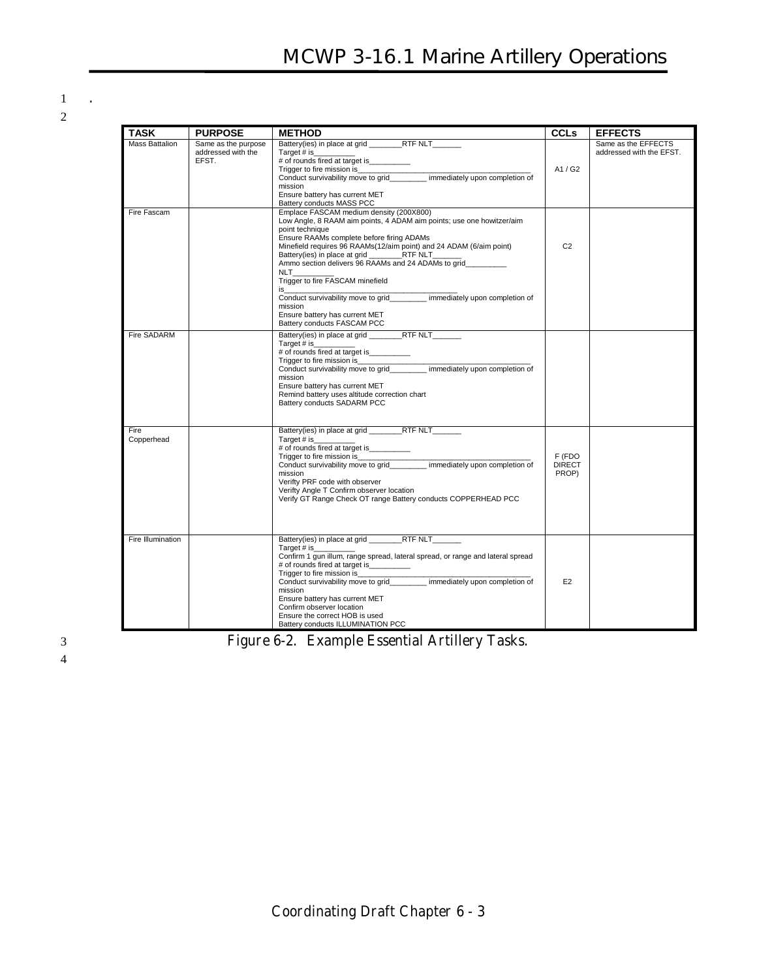1 **.** 2

| <b>TASK</b>           | <b>PURPOSE</b>                                     | <b>METHOD</b>                                                                                                                                                                                                                                                                                                                                                                                                                                                                                                                     | <b>CCLs</b>                      | <b>EFFECTS</b>                                  |
|-----------------------|----------------------------------------------------|-----------------------------------------------------------------------------------------------------------------------------------------------------------------------------------------------------------------------------------------------------------------------------------------------------------------------------------------------------------------------------------------------------------------------------------------------------------------------------------------------------------------------------------|----------------------------------|-------------------------------------------------|
| <b>Mass Battalion</b> | Same as the purpose<br>addressed with the<br>EFST. | Battery(ies) in place at grid RTF NLT<br>Target # is<br># of rounds fired at target is _________<br>Trigger to fire mission is<br>Conduct survivability move to grid immediately upon completion of<br>mission<br>Ensure battery has current MET<br>Battery conducts MASS PCC                                                                                                                                                                                                                                                     | A1/G2                            | Same as the EFFECTS<br>addressed with the EFST. |
| Fire Fascam           |                                                    | Emplace FASCAM medium density (200X800)<br>Low Angle, 8 RAAM aim points, 4 ADAM aim points; use one howitzer/aim<br>point technique<br>Ensure RAAMs complete before firing ADAMs<br>Minefield requires 96 RAAMs(12/aim point) and 24 ADAM (6/aim point)<br>Battery(ies) in place at grid RTF NLT<br>Ammo section delivers 96 RAAMs and 24 ADAMs to grid<br><b>NLT</b><br>Trigger to fire FASCAM minefield<br>is<br>Conduct survivability move to grid immediately upon completion of<br>mission<br>Ensure battery has current MET | C <sub>2</sub>                   |                                                 |
| Fire SADARM           |                                                    | Battery conducts FASCAM PCC<br>Battery(ies) in place at grid RTF NLT<br>Target # is<br># of rounds fired at target is __________<br>Conduct survivability move to grid immediately upon completion of<br>mission<br>Ensure battery has current MET<br>Remind battery uses altitude correction chart<br>Battery conducts SADARM PCC                                                                                                                                                                                                |                                  |                                                 |
| Fire<br>Copperhead    |                                                    | Battery(ies) in place at grid RTF NLT<br>Target # is<br># of rounds fired at target is__________<br>Trigger to fire mission is <b>Exercise 2.1 Across</b><br>Conduct survivability move to grid immediately upon completion of<br>mission<br>Verifty PRF code with observer<br>Verifty Angle T Confirm observer location<br>Verify GT Range Check OT range Battery conducts COPPERHEAD PCC                                                                                                                                        | F (FDO<br><b>DIRECT</b><br>PROP) |                                                 |
| Fire Illumination     |                                                    | Battery(ies) in place at grid RTF NLT<br>Target # is<br>Confirm 1 gun illum, range spread, lateral spread, or range and lateral spread<br># of rounds fired at target is___________<br>Trigger to fire mission is<br>Conduct survivability move to grid_________ immediately upon completion of<br>mission<br>Ensure battery has current MET<br>Confirm observer location<br>Ensure the correct HOB is used<br>Battery conducts ILLUMINATION PCC                                                                                  | E <sub>2</sub>                   |                                                 |

3 **Figure 6-2. Example Essential Artillery Tasks.**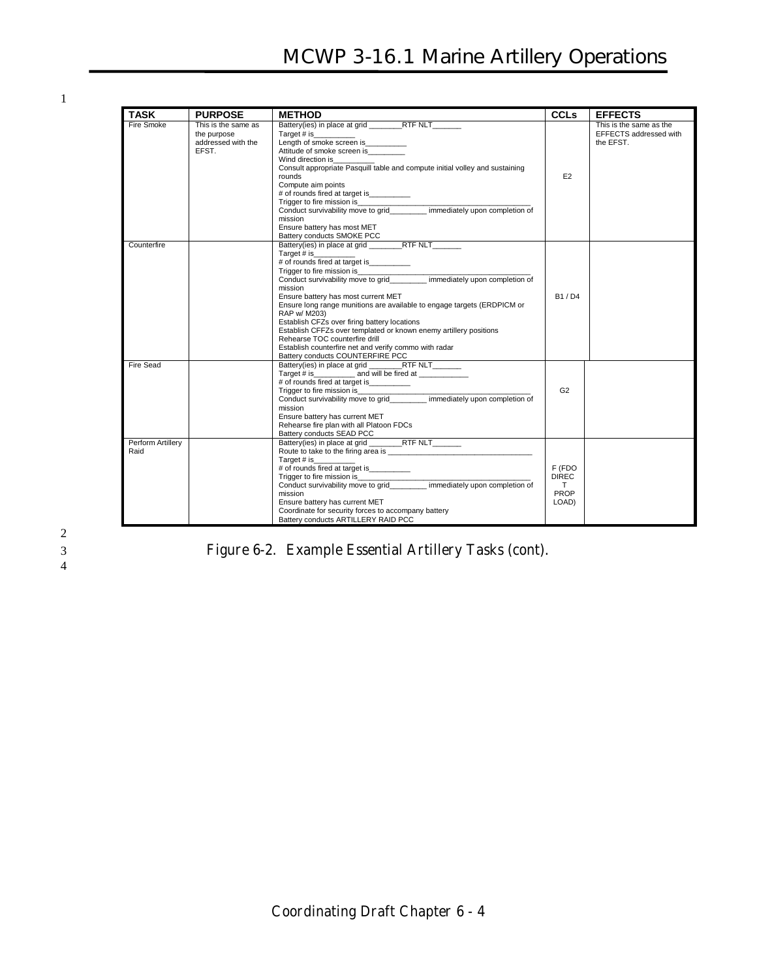# **MCWP 3-16.1 Marine Artillery Operations**

1

| <b>TASK</b>               | <b>PURPOSE</b>                                                    | <b>METHOD</b>                                                                                                                                                                                                                                                                                                                                                                                                                                                           | <b>CCLs</b>                                   | <b>EFFECTS</b>                                                 |
|---------------------------|-------------------------------------------------------------------|-------------------------------------------------------------------------------------------------------------------------------------------------------------------------------------------------------------------------------------------------------------------------------------------------------------------------------------------------------------------------------------------------------------------------------------------------------------------------|-----------------------------------------------|----------------------------------------------------------------|
| Fire Smoke                | This is the same as<br>the purpose<br>addressed with the<br>EFST. | Battery(ies) in place at grid RTF NLT<br>Target # is<br>Length of smoke screen is __________<br>Attitude of smoke screen is<br>Wind direction is<br>Consult appropriate Pasquill table and compute initial volley and sustaining<br>rounds<br>Compute aim points<br># of rounds fired at target is _________<br>Trigger to fire mission is<br>Trigger to fire mission is______________________ immediately upon completion of<br>mission<br>Ensure battery has most MET | E <sub>2</sub>                                | This is the same as the<br>EFFECTS addressed with<br>the EFST. |
| Counterfire               |                                                                   | Target # is<br># of rounds fired at target is __________<br>mission<br>Ensure battery has most current MET<br>Ensure long range munitions are available to engage targets (ERDPICM or<br>RAP w/ M203)<br>Establish CFZs over firing battery locations<br>Establish CFFZs over templated or known enemy artillery positions<br>Rehearse TOC counterfire drill<br>Establish counterfire net and verify commo with radar<br>Battery conducts COUNTERFIRE PCC               | B1/D4                                         |                                                                |
| Fire Sead                 |                                                                   | Battery(ies) in place at grid RTF NLT<br>mission<br>Ensure battery has current MET<br>Rehearse fire plan with all Platoon FDCs<br>Battery conducts SEAD PCC                                                                                                                                                                                                                                                                                                             | G <sub>2</sub>                                |                                                                |
| Perform Artillery<br>Raid |                                                                   | Battery(ies) in place at grid RTF NLT<br>Target # is<br>mission<br>Ensure battery has current MET<br>Coordinate for security forces to accompany battery<br>Battery conducts ARTILLERY RAID PCC                                                                                                                                                                                                                                                                         | F (FDO<br><b>DIREC</b><br>T.<br>PROP<br>LOAD) |                                                                |

## 3 **Figure 6-2. Example Essential Artillery Tasks (cont).**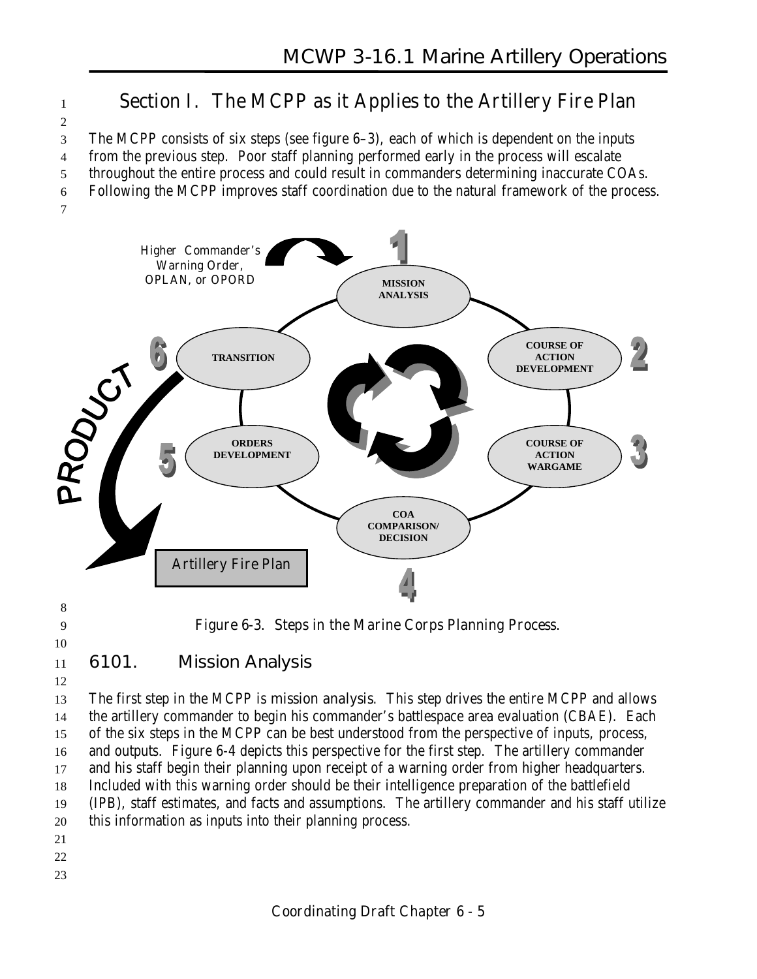# <sup>1</sup> **Section I. The MCPP as it Applies to the Artillery Fire Plan**

3 The MCPP consists of six steps (see figure 6–3), each of which is dependent on the inputs

4 from the previous step. Poor staff planning performed early in the process will escalate

5 throughout the entire process and could result in commanders determining inaccurate COAs.

6 Following the MCPP improves staff coordination due to the natural framework of the process.



2



10

9 **Figure 6-3. Steps in the Marine Corps Planning Process.**

# 11 **6101. Mission Analysis**

12

 The first step in the MCPP is **mission analysis**. This step drives the entire MCPP and allows the artillery commander to begin his commander's battlespace area evaluation (CBAE). Each of the six steps in the MCPP can be best understood from the perspective of inputs, process, and outputs. Figure 6-4 depicts this perspective for the first step. The artillery commander and his staff begin their planning upon receipt of a warning order from higher headquarters. Included with this warning order should be their intelligence preparation of the battlefield (IPB), staff estimates, and facts and assumptions. The artillery commander and his staff utilize this information as inputs into their planning process.

- 21
- 22 23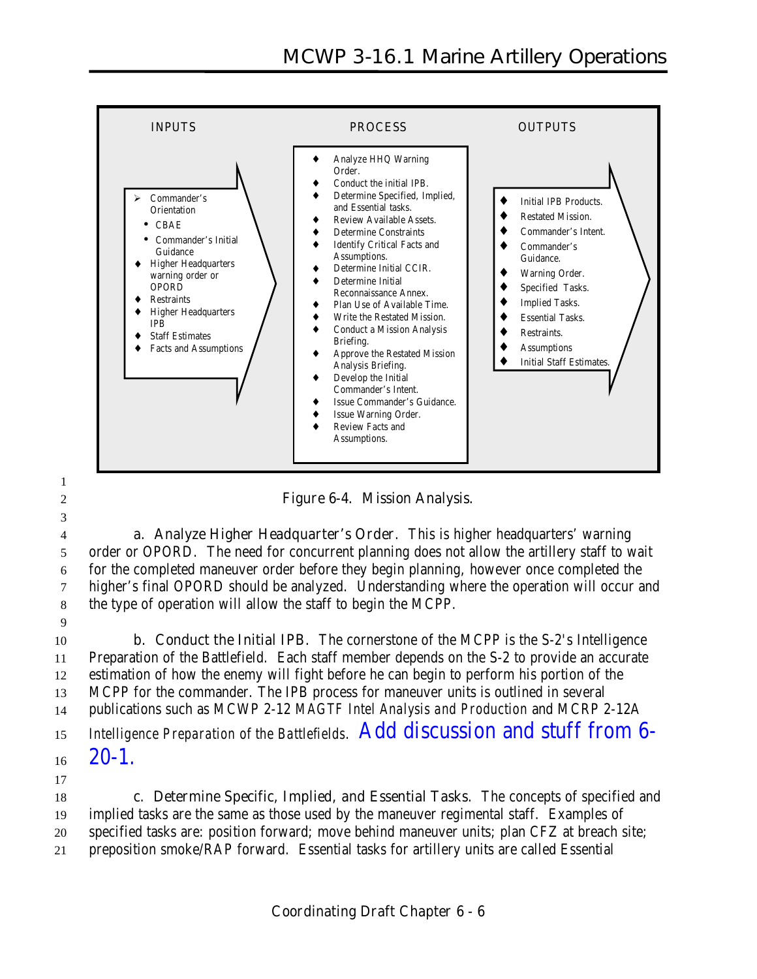

2 **Figure 6-4. Mission Analysis.**

 **a. Analyze Higher Headquarter's Order**. This is higher headquarters' warning order or OPORD. The need for concurrent planning does not allow the artillery staff to wait for the completed maneuver order before they begin planning, however once completed the higher's final OPORD should be analyzed. Understanding where the operation will occur and the type of operation will allow the staff to begin the MCPP.

9

1

3

 **b. Conduct the Initial IPB.** The cornerstone of the MCPP is the S-2's Intelligence Preparation of the Battlefield. Each staff member depends on the S-2 to provide an accurate estimation of how the enemy will fight before he can begin to perform his portion of the MCPP for the commander. The IPB process for maneuver units is outlined in several publications such as MCWP 2-12 *MAGTF Intel Analysis and Production* and MCRP 2-12A *Intelligence Preparation of the Battlefields*. Add discussion and stuff from 6-

- $16 \quad 20-1.$
- 17

 **c. Determine Specific, Implied, and Essential Tasks**. The concepts of specified and implied tasks are the same as those used by the maneuver regimental staff. Examples of specified tasks are: position forward; move behind maneuver units; plan CFZ at breach site; preposition smoke/RAP forward. Essential tasks for artillery units are called Essential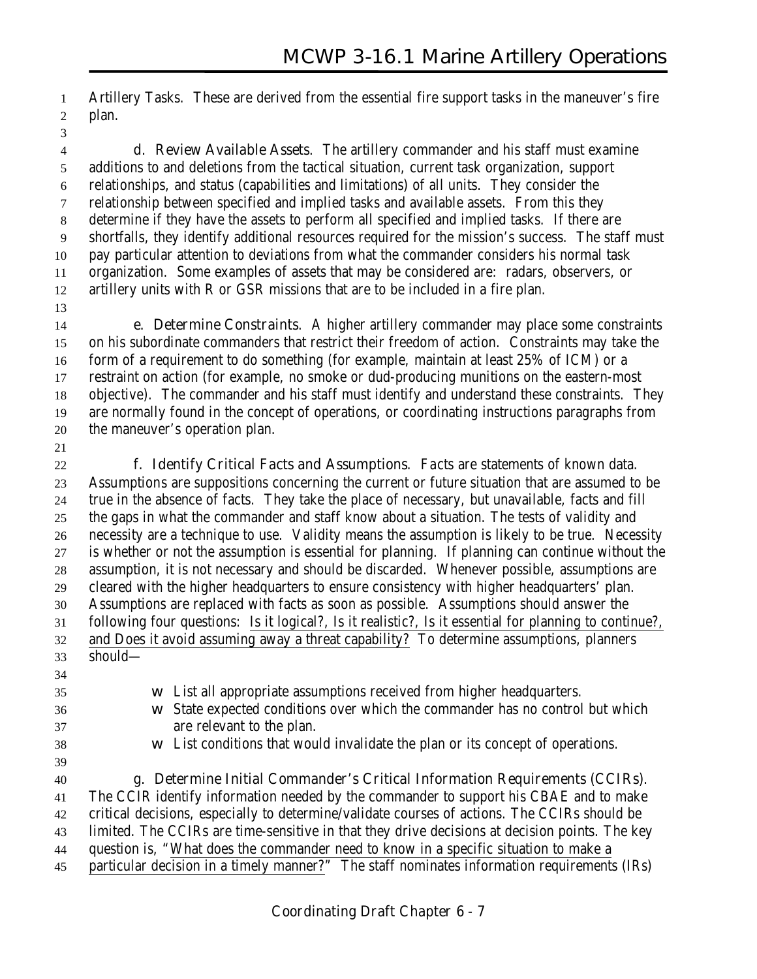Artillery Tasks. These are derived from the essential fire support tasks in the maneuver's fire plan.

- **d. Review Available Assets**. The artillery commander and his staff must examine additions to and deletions from the tactical situation, current task organization, support relationships, and status (capabilities and limitations) of all units. They consider the relationship between specified and implied tasks and available assets. From this they determine if they have the assets to perform all specified and implied tasks. If there are shortfalls, they identify additional resources required for the mission's success. The staff must pay particular attention to deviations from what the commander considers his normal task organization. Some examples of assets that may be considered are: radars, observers, or artillery units with R or GSR missions that are to be included in a fire plan.
- 

 **e. Determine Constraints**. A higher artillery commander may place some constraints on his subordinate commanders that restrict their freedom of action. Constraints may take the form of a requirement to do something (for example, maintain at least 25% of ICM) or a restraint on action (for example, no smoke or dud-producing munitions on the eastern-most objective). The commander and his staff must identify and understand these constraints. They are normally found in the concept of operations, or coordinating instructions paragraphs from the maneuver's operation plan.

 **f. Identify Critical Facts and Assumptions**. *Facts* are statements of known data. *Assumptions* are suppositions concerning the current or future situation that are assumed to be true in the absence of facts. They take the place of necessary, but unavailable, facts and fill the gaps in what the commander and staff know about a situation. The tests of validity and necessity are a technique to use. Validity means the assumption is likely to be true. Necessity is whether or not the assumption is essential for planning. If planning can continue without the assumption, it is not necessary and should be discarded. Whenever possible, assumptions are cleared with the higher headquarters to ensure consistency with higher headquarters' plan. Assumptions are replaced with facts as soon as possible. Assumptions should answer the following four questions: Is it logical?, Is it realistic?, Is it essential for planning to continue?, and Does it avoid assuming away a threat capability? To determine assumptions, planners should— w List all appropriate assumptions received from higher headquarters. w State expected conditions over which the commander has no control but which are relevant to the plan. w List conditions that would invalidate the plan or its concept of operations.

**g. Determine Initial Commander's Critical Information Requirements (CCIRs)**.

 The CCIR identify information needed by the commander to support his CBAE and to make critical decisions, especially to determine/validate courses of actions. The CCIRs should be limited. The CCIRs are time-sensitive in that they drive decisions at decision points. The key

question is, "What does the commander need to know in a specific situation to make a

particular decision in a timely manner?" The staff nominates information requirements (IRs)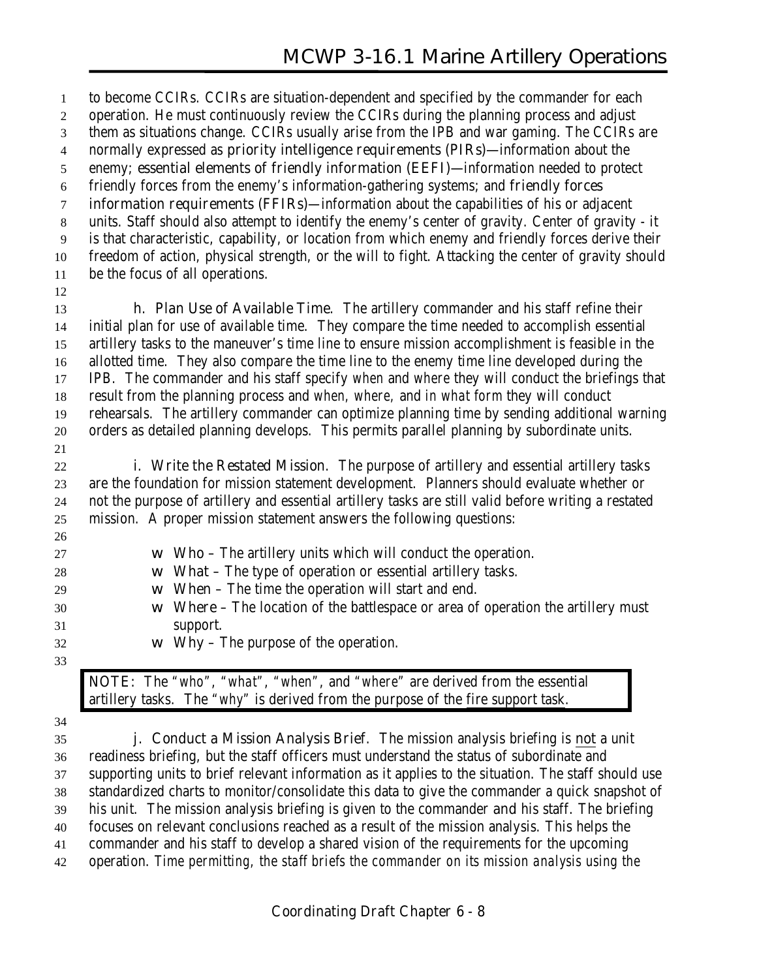to become CCIRs. CCIRs are situation-dependent and specified by the commander for each operation. He must continuously review the CCIRs during the planning process and adjust them as situations change. CCIRs usually arise from the IPB and war gaming. The CCIRs are normally expressed as **priority intelligence requirements (PIRs)—**information about the enemy; **essential elements of friendly information (EEFI)—**information needed to protect friendly forces from the enemy's information-gathering systems; and **friendly forces information requirements (FFIRs)**—information about the capabilities of his or adjacent units. Staff should also attempt to identify the enemy's center of gravity. Center of gravity - it is that characteristic, capability, or location from which enemy and friendly forces derive their freedom of action, physical strength, or the will to fight. Attacking the center of gravity should be the focus of all operations. **h. Plan Use of Available Time**. The artillery commander and his staff refine their initial plan for use of available time. They compare the time needed to accomplish essential artillery tasks to the maneuver's time line to ensure mission accomplishment is feasible in the allotted time. They also compare the time line to the enemy time line developed during the IPB. The commander and his staff specify *when* and *where* they will conduct the briefings that result from the planning process and *when, where,* and *in what form* they will conduct rehearsals. The artillery commander can optimize planning time by sending additional warning orders as detailed planning develops. This permits parallel planning by subordinate units. **i. Write the Restated Mission**. The purpose of artillery and essential artillery tasks are the foundation for mission statement development. Planners should evaluate whether or not the purpose of artillery and essential artillery tasks are still valid before writing a restated mission. A proper mission statement answers the following questions: w **Who** – The artillery units which will conduct the operation. w **What** – The type of operation or essential artillery tasks. w **When** – The time the operation will start and end. w **Where** – The location of the battlespace or area of operation the artillery must support. w **Why** – The purpose of the operation. **NOTE:** The *"who"*, *"what"*, *"when"*, and *"where"* are derived from the essential artillery tasks. The *"why"* is derived from the *purpose* of the fire support task.

 **j. Conduct a Mission Analysis Brief**. The mission analysis briefing is **not** a unit readiness briefing, but the staff officers must understand the status of subordinate and supporting units to brief relevant information as it applies to the situation. The staff should use standardized charts to monitor/consolidate this data to give the commander a quick snapshot of his unit. The mission analysis briefing is given to the commander **and** his staff. The briefing focuses on relevant conclusions reached as a result of the mission analysis. This helps the commander and his staff to develop a shared vision of the requirements for the upcoming operation. *Time permitting, the staff briefs the commander on its mission analysis using the*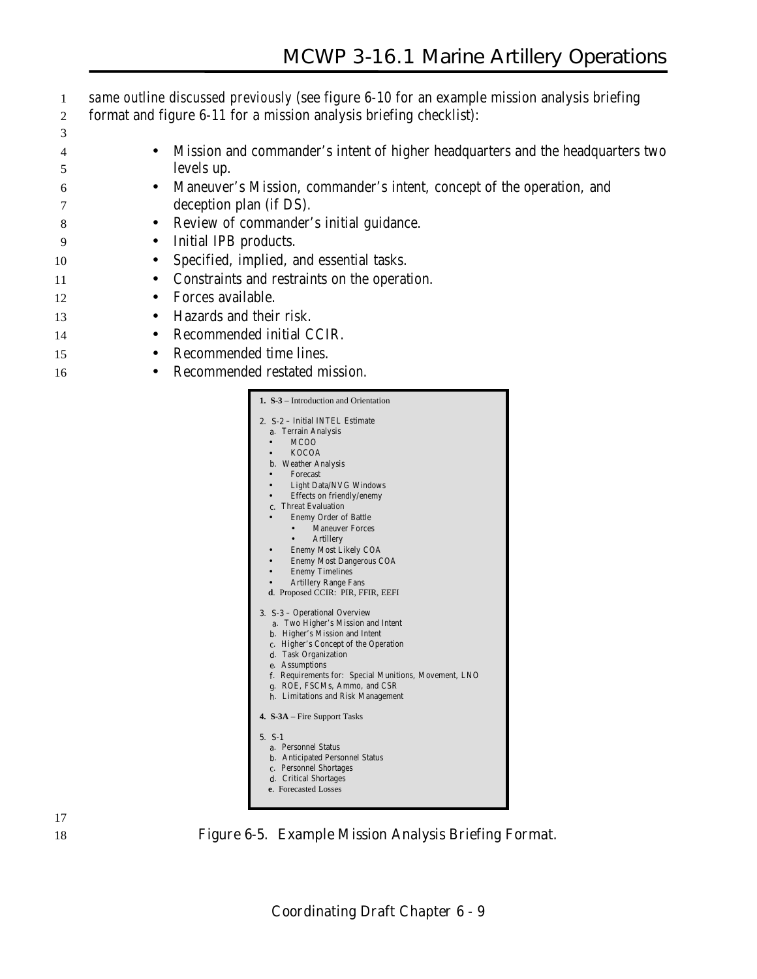- 1 *same outline discussed previously* (see figure 6-10 for an example mission analysis briefing 2 format and figure 6-11 for a mission analysis briefing checklist):
- 3 4 • Mission and commander's intent of higher headquarters and the headquarters two 5 levels up.
- 6 Maneuver's Mission, commander's intent, concept of the operation, and 7 deception plan (if DS).
- 8 Review of commander's initial guidance.
- 9 Initial IPB products.
- 10 Specified, implied, and essential tasks.
- 11 Constraints and restraints on the operation.
- 12 Forces available.
- 13 Hazards and their risk.
- 14 Recommended initial CCIR.
- 15 Recommended time lines.
- 16 Recommended restated mission.

| <b>1. S-3</b> – Introduction and Orientation          |
|-------------------------------------------------------|
| 2. S-2 - Initial INTEL Estimate                       |
| a. Terrain Analysis                                   |
| MC <sub>O</sub> O                                     |
| <b>KOCOA</b><br>$\bullet$                             |
| <b>b.</b> Weather Analysis                            |
| Forecast                                              |
| <b>Light Data/NVG Windows</b>                         |
| Effects on friendly/enemy                             |
| c. Threat Evaluation                                  |
| <b>Enemy Order of Battle</b>                          |
| <b>Maneuver Forces</b>                                |
| <b>Artillery</b><br>$\bullet$ .                       |
| Enemy Most Likely COA                                 |
| <b>Enemy Most Dangerous COA</b>                       |
| <b>Enemy Timelines</b>                                |
| <b>Artillery Range Fans</b>                           |
| d. Proposed CCIR: PIR, FFIR, EEFI                     |
|                                                       |
| 3. S-3 - Operational Overview                         |
| a. Two Higher's Mission and Intent                    |
| <b>b.</b> Higher's Mission and Intent                 |
| c. Higher's Concept of the Operation                  |
| d. Task Organization                                  |
| e. Assumptions                                        |
| f. Requirements for: Special Munitions, Movement, LNO |
| g. ROE, FSCMs, Ammo, and CSR                          |
| h. Limitations and Risk Management                    |
| 4. $S-3A$ – Fire Support Tasks                        |
| $5. S-1$                                              |
| a. Personnel Status                                   |
| <b>b.</b> Anticipated Personnel Status                |
| c. Personnel Shortages                                |
| d. Critical Shortages                                 |
| e. Forecasted Losses                                  |
|                                                       |
|                                                       |



18 **Figure 6-5. Example Mission Analysis Briefing Format.**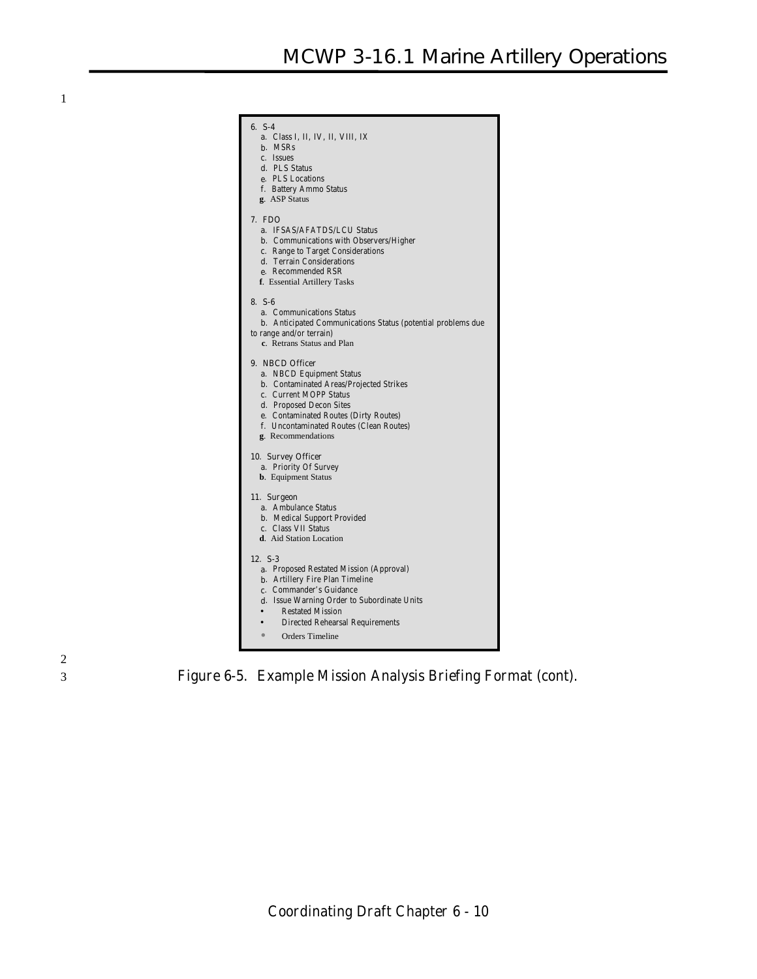| $6. S-4$                                                                                        |
|-------------------------------------------------------------------------------------------------|
| <b>a</b> . Class I, II, IV, II, VIII, IX                                                        |
| <b>b</b> . MSRs                                                                                 |
| c. Issues<br>d. PLS Status                                                                      |
| e. PLS Locations                                                                                |
| f. Battery Ammo Status                                                                          |
| g. ASP Status                                                                                   |
| 7. FDO                                                                                          |
| a. IFSAS/AFATDS/LCU Status                                                                      |
| <b>b.</b> Communications with Observers/Higher                                                  |
| c. Range to Target Considerations                                                               |
| d. Terrain Considerations                                                                       |
| e. Recommended RSR<br>f. Essential Artillery Tasks                                              |
|                                                                                                 |
| $8. S-6$                                                                                        |
| <b>a.</b> Communications Status                                                                 |
| <b>b.</b> Anticipated Communications Status (potential problems due<br>to range and/or terrain) |
| c. Retrans Status and Plan                                                                      |
|                                                                                                 |
| 9. NBCD Officer                                                                                 |
| a. NBCD Equipment Status                                                                        |
| <b>b.</b> Contaminated Areas/Projected Strikes<br>c. Current MOPP Status                        |
| <b>d.</b> Proposed Decon Sites                                                                  |
| e. Contaminated Routes (Dirty Routes)                                                           |
| f. Uncontaminated Routes (Clean Routes)                                                         |
| g. Recommendations                                                                              |
| 10. Survey Officer                                                                              |
| a. Priority Of Survey                                                                           |
| <b>b.</b> Equipment Status                                                                      |
| 11. Surgeon                                                                                     |
| a. Ambulance Status                                                                             |
| <b>b.</b> Medical Support Provided                                                              |
| c. Class VII Status                                                                             |
| d. Aid Station Location                                                                         |
| 12. S-3                                                                                         |
| a. Proposed Restated Mission (Approval)                                                         |
| <b>b.</b> Artillery Fire Plan Timeline                                                          |
| c. Commander's Guidance                                                                         |
| d. Issue Warning Order to Subordinate Units                                                     |
| <b>Restated Mission</b><br><b>Directed Rehearsal Requirements</b>                               |
|                                                                                                 |
| Orders Timeline                                                                                 |



3 **Figure 6-5. Example Mission Analysis Briefing Format (cont).**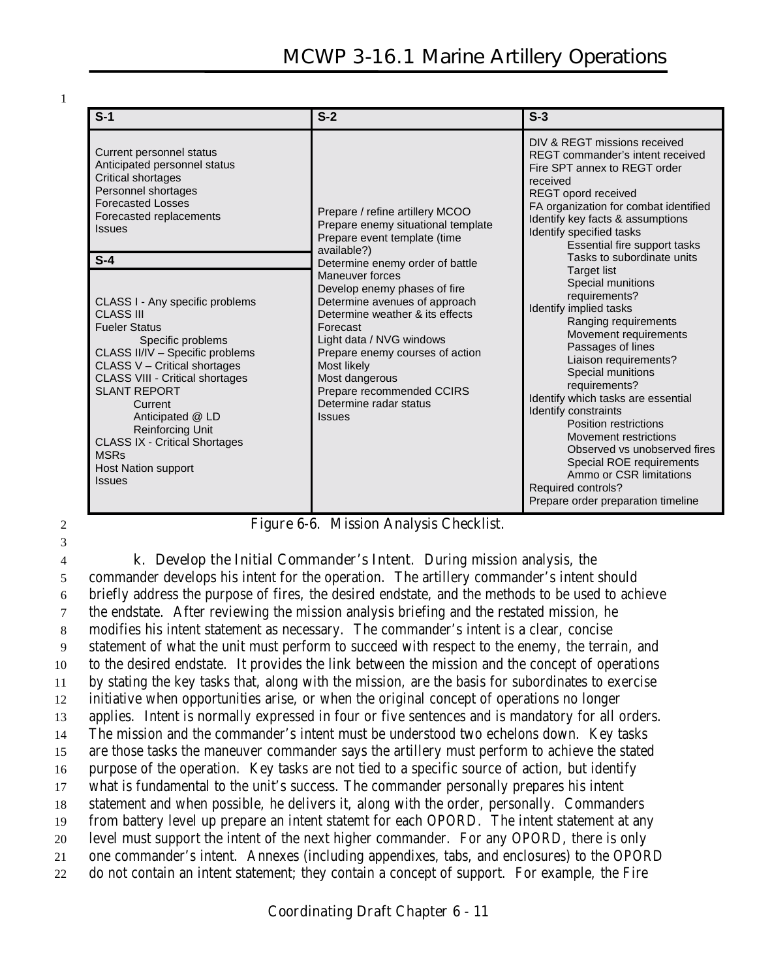| $S-1$                                                                                                                                                                                                                                                                                                                                                                                                                                                                                                                                                                            | $S-2$                                                                                                                                                                                                                                                                                                                                                                                                                                                              | $S-3$                                                                                                                                                                                                                                                                                                                                                                                                                                                                                                                                                                                                                                                                                                                                                                                                    |
|----------------------------------------------------------------------------------------------------------------------------------------------------------------------------------------------------------------------------------------------------------------------------------------------------------------------------------------------------------------------------------------------------------------------------------------------------------------------------------------------------------------------------------------------------------------------------------|--------------------------------------------------------------------------------------------------------------------------------------------------------------------------------------------------------------------------------------------------------------------------------------------------------------------------------------------------------------------------------------------------------------------------------------------------------------------|----------------------------------------------------------------------------------------------------------------------------------------------------------------------------------------------------------------------------------------------------------------------------------------------------------------------------------------------------------------------------------------------------------------------------------------------------------------------------------------------------------------------------------------------------------------------------------------------------------------------------------------------------------------------------------------------------------------------------------------------------------------------------------------------------------|
| Current personnel status<br>Anticipated personnel status<br>Critical shortages<br>Personnel shortages<br><b>Forecasted Losses</b><br>Forecasted replacements<br><b>Issues</b><br>$S-4$<br>CLASS I - Any specific problems<br>CLASS III<br><b>Fueler Status</b><br>Specific problems<br>CLASS II/IV - Specific problems<br>CLASS V - Critical shortages<br><b>CLASS VIII - Critical shortages</b><br><b>SLANT REPORT</b><br>Current<br>Anticipated @ LD<br><b>Reinforcing Unit</b><br><b>CLASS IX - Critical Shortages</b><br><b>MSRs</b><br>Host Nation support<br><b>Issues</b> | Prepare / refine artillery MCOO<br>Prepare enemy situational template<br>Prepare event template (time<br>available?)<br>Determine enemy order of battle<br>Maneuver forces<br>Develop enemy phases of fire<br>Determine avenues of approach<br>Determine weather & its effects<br>Forecast<br>Light data / NVG windows<br>Prepare enemy courses of action<br>Most likely<br>Most dangerous<br>Prepare recommended CCIRS<br>Determine radar status<br><b>Issues</b> | DIV & REGT missions received<br>REGT commander's intent received<br>Fire SPT annex to REGT order<br>received<br>REGT opord received<br>FA organization for combat identified<br>Identify key facts & assumptions<br>Identify specified tasks<br>Essential fire support tasks<br>Tasks to subordinate units<br><b>Target list</b><br>Special munitions<br>requirements?<br>Identify implied tasks<br>Ranging requirements<br>Movement requirements<br>Passages of lines<br>Liaison requirements?<br>Special munitions<br>requirements?<br>Identify which tasks are essential<br>Identify constraints<br>Position restrictions<br>Movement restrictions<br>Observed vs unobserved fires<br>Special ROE requirements<br>Ammo or CSR limitations<br>Required controls?<br>Prepare order preparation timeline |

3

2 **Figure 6-6. Mission Analysis Checklist.**

 **k. Develop the Initial Commander's Intent**. During mission analysis, the commander develops his intent for the operation. The artillery commander's intent should briefly address the purpose of fires, the desired endstate, and the methods to be used to achieve the endstate. After reviewing the mission analysis briefing and the restated mission, he modifies his intent statement as necessary. The commander's intent is a clear, concise statement of what the unit must perform to succeed with respect to the enemy, the terrain, and to the desired endstate. It provides the link between the mission and the concept of operations by stating the key tasks that, along with the mission, are the basis for subordinates to exercise initiative when opportunities arise, or when the original concept of operations no longer applies. Intent is normally expressed in four or five sentences and is mandatory for all orders. The mission and the commander's intent must be understood two echelons down. Key tasks are those tasks the maneuver commander says the artillery must perform to achieve the stated purpose of the operation. Key tasks are not tied to a specific source of action, but identify what is fundamental to the unit's success. The commander personally prepares his intent statement and when possible, he delivers it, along with the order, personally. Commanders from battery level up prepare an intent statemt for each OPORD. The intent statement at any level must support the intent of the next higher commander. For any OPORD, there is only one commander's intent. Annexes (including appendixes, tabs, and enclosures) to the OPORD do not contain an intent statement; they contain a concept of support. For example, the Fire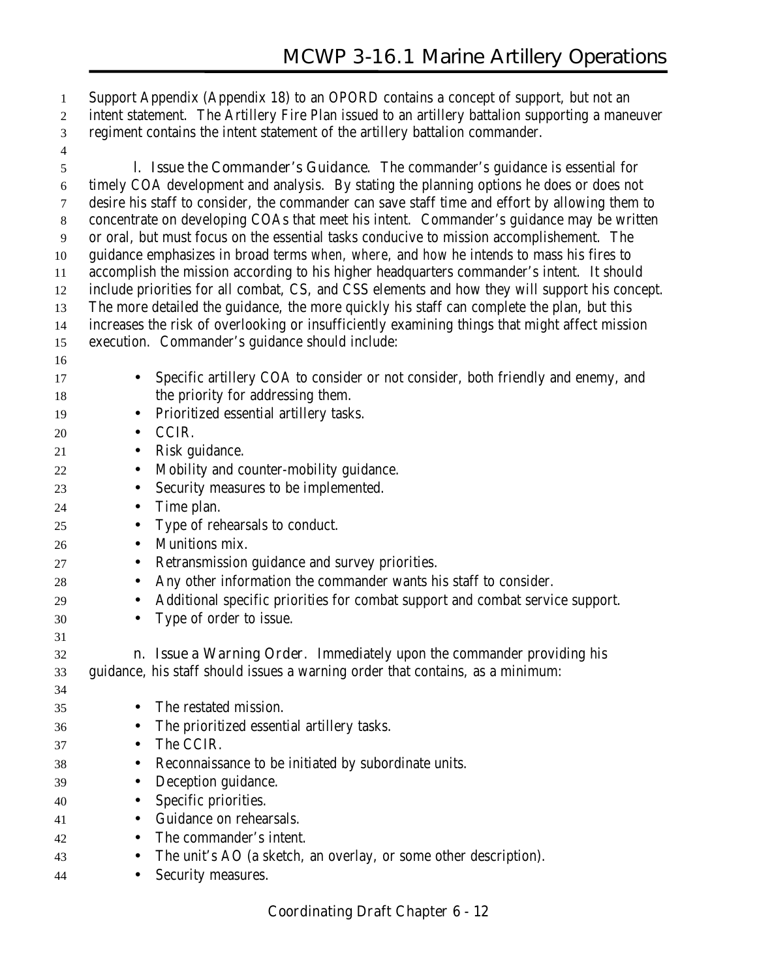Support Appendix (Appendix 18) to an OPORD contains a concept of support, but not an intent statement. The Artillery Fire Plan issued to an artillery battalion supporting a maneuver regiment contains the intent statement of the artillery battalion commander.

 **l. Issue the Commander's Guidance**. The commander's guidance is essential for timely COA development and analysis. By stating the planning options he does or does not desire his staff to consider, the commander can save staff time and effort by allowing them to concentrate on developing COAs that meet his intent. Commander's guidance may be written or oral, but must focus on the essential tasks conducive to mission accomplishement. The guidance emphasizes in broad terms *when, where,* and *how* he intends to mass his fires to accomplish the mission according to his higher headquarters commander's intent. It should include priorities for all combat, CS, and CSS elements and how they will support his concept. The more detailed the guidance, the more quickly his staff can complete the plan, but this increases the risk of overlooking or insufficiently examining things that might affect mission execution. Commander's guidance should include:

- • Specific artillery COA to consider or not consider, both friendly and enemy, and 18 the priority for addressing them. • Prioritized essential artillery tasks. • CCIR. 21 • Risk guidance. • Mobility and counter-mobility guidance. • Security measures to be implemented. • Time plan. • Type of rehearsals to conduct. • Munitions mix. • Retransmission guidance and survey priorities. • Any other information the commander wants his staff to consider. • Additional specific priorities for combat support and combat service support. • Type of order to issue. **n. Issue a Warning Order**. Immediately upon the commander providing his guidance, his staff should issues a warning order that contains, as a minimum: • The restated mission. • The prioritized essential artillery tasks. • The CCIR. • Reconnaissance to be initiated by subordinate units. • Deception guidance. • Specific priorities. • Guidance on rehearsals. • The commander's intent. • The unit's AO (a sketch, an overlay, or some other description).
- Security measures.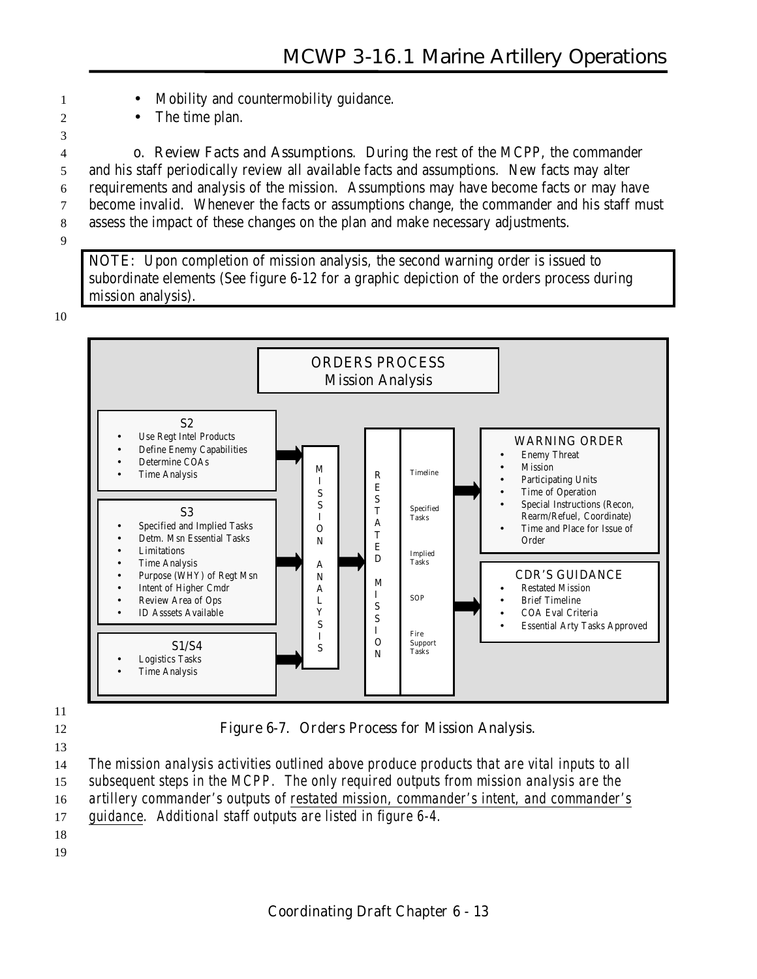- 1 Mobility and countermobility guidance.
- 2 The time plan.

 **o. Review Facts and Assumptions**. During the rest of the MCPP, the commander and his staff periodically review all available facts and assumptions. New facts may alter requirements and analysis of the mission. Assumptions may have become facts or may have become invalid. Whenever the facts or assumptions change, the commander and his staff must assess the impact of these changes on the plan and make necessary adjustments.

9

3

**NOTE:** Upon completion of mission analysis, the second warning order is issued to subordinate elements (See figure 6-12 for a graphic depiction of the orders process during mission analysis).

10



11

13

12 **Figure 6-7. Orders Process for Mission Analysis.**

14 *The mission analysis activities outlined above produce products that are vital inputs to all*

15 *subsequent steps in the MCPP. The only required outputs from mission analysis are the*

16 *artillery commander's outputs of restated mission*, *commander's intent, and commander's*

17 *guidance. Additional staff outputs are listed in figure 6-4.*

18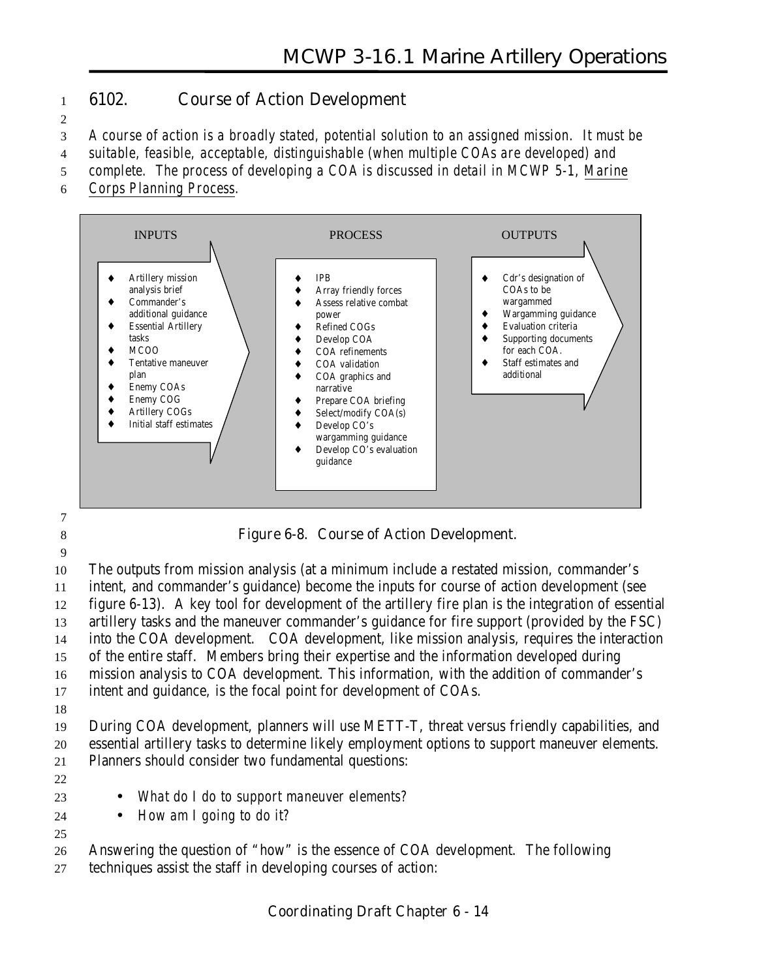#### 1 **6102. Course of Action Development**

2

3 *A course of action is a broadly stated, potential solution to an assigned mission. It must be*

4 *suitable, feasible, acceptable, distinguishable (when multiple COAs are developed) and*

5 *complete. The process of developing a COA is discussed in detail in MCWP 5-1, Marine*

6 *Corps Planning Process.*



7

8 **Figure 6-8. Course of Action Development.**

9

 The outputs from mission analysis (at a minimum include a restated mission, commander's intent, and commander's guidance) become the inputs for course of action development (see figure 6-13). A key tool for development of the artillery fire plan is the integration of essential artillery tasks and the maneuver commander's guidance for fire support (provided by the FSC) into the COA development. COA development, like mission analysis, requires the interaction of the entire staff. Members bring their expertise and the information developed during mission analysis to COA development. This information, with the addition of commander's intent and guidance, is the focal point for development of COAs.

18

19 During COA development, planners will use METT-T, threat versus friendly capabilities, and 20 essential artillery tasks to determine likely employment options to support maneuver elements. 21 Planners should consider two fundamental questions:

22

25

- 23 *What do I do to support maneuver elements?*
- 24 *How am I going to do it?*

26 Answering the question of "how" is the essence of COA development. The following

27 techniques assist the staff in developing courses of action: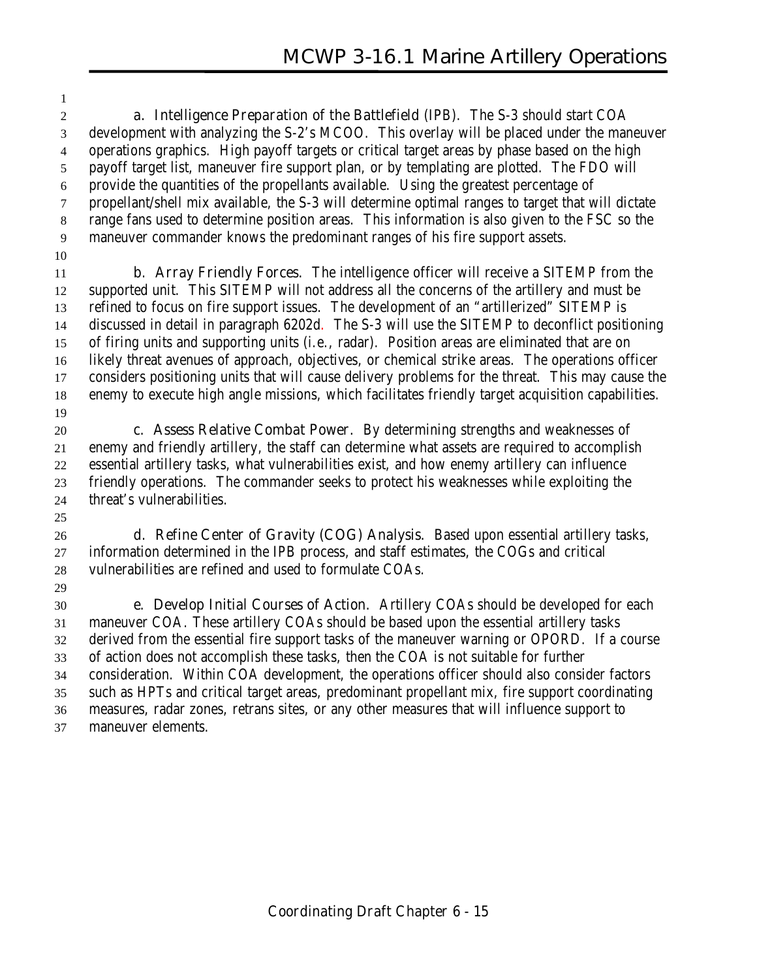**a. Intelligence Preparation of the Battlefield** (IPB). The S-3 should start COA development with analyzing the S-2's MCOO. This overlay will be placed under the maneuver operations graphics. High payoff targets or critical target areas by phase based on the high payoff target list, maneuver fire support plan, or by templating are plotted. The FDO will provide the quantities of the propellants available. Using the greatest percentage of propellant/shell mix available, the S-3 will determine optimal ranges to target that will dictate range fans used to determine position areas. This information is also given to the FSC so the maneuver commander knows the predominant ranges of his fire support assets.

 **b. Array Friendly Forces.** The intelligence officer will receive a SITEMP from the supported unit. This SITEMP will not address all the concerns of the artillery and must be refined to focus on fire support issues. The development of an "artillerized" SITEMP is discussed in detail in paragraph 6202d. The S-3 will use the SITEMP to deconflict positioning of firing units and supporting units (i.e., radar). Position areas are eliminated that are on likely threat avenues of approach, objectives, or chemical strike areas. The operations officer considers positioning units that will cause delivery problems for the threat. This may cause the enemy to execute high angle missions, which facilitates friendly target acquisition capabilities. 

 **c. Assess Relative Combat Power.** By determining strengths and weaknesses of enemy and friendly artillery, the staff can determine what assets are required to accomplish essential artillery tasks, what vulnerabilities exist, and how enemy artillery can influence friendly operations. The commander seeks to protect his weaknesses while exploiting the threat's vulnerabilities.

 **d. Refine Center of Gravity (COG) Analysis.** Based upon essential artillery tasks, information determined in the IPB process, and staff estimates, the COGs and critical vulnerabilities are refined and used to formulate COAs.

 **e. Develop Initial Courses of Action.** Artillery COAs should be developed for each maneuver COA. These artillery COAs should be based upon the essential artillery tasks derived from the essential fire support tasks of the maneuver warning or OPORD. If a course of action does not accomplish these tasks, then the COA is not suitable for further consideration. Within COA development, the operations officer should also consider factors such as HPTs and critical target areas, predominant propellant mix, fire support coordinating measures, radar zones, retrans sites, or any other measures that will influence support to maneuver elements.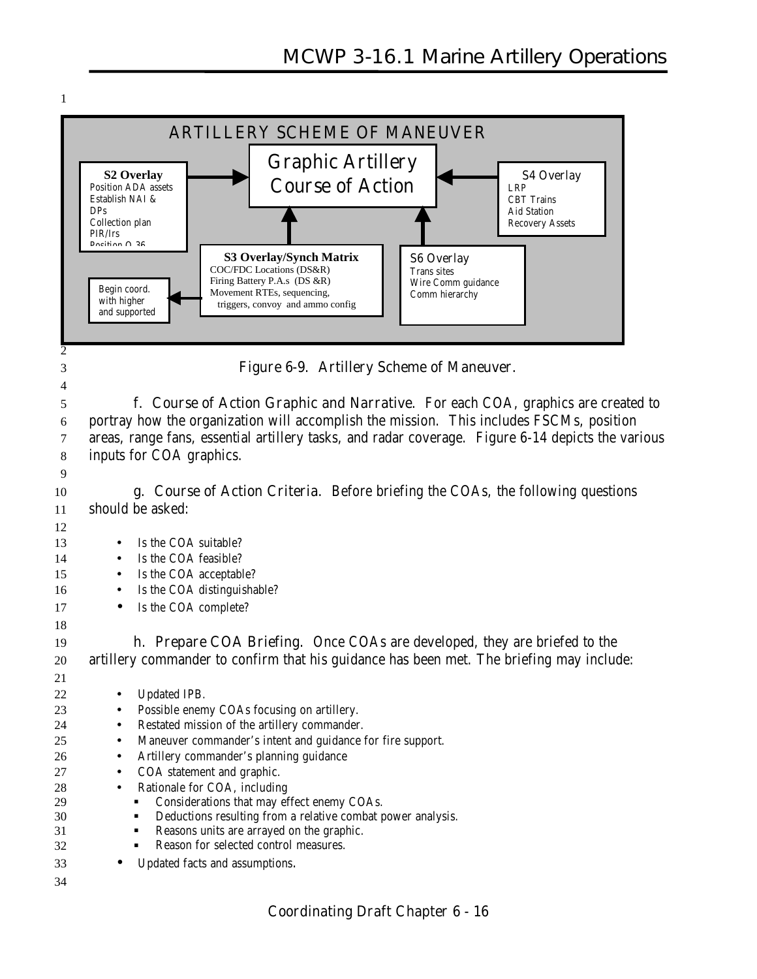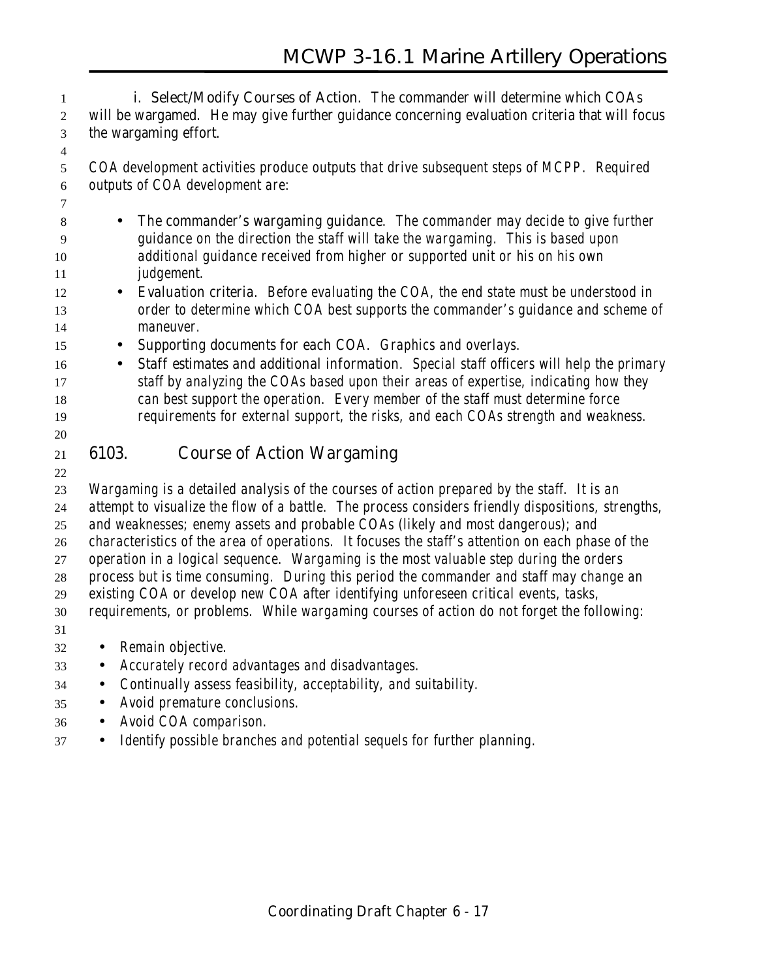**i. Select/Modify Courses of Action.** The commander will determine which COAs will be wargamed. He may give further guidance concerning evaluation criteria that will focus the wargaming effort.

 *COA development activities produce outputs that drive subsequent steps of MCPP. Required outputs of COA development are:*

 • *The commander's wargaming guidance. The commander may decide to give further guidance on the direction the staff will take the wargaming. This is based upon additional guidance received from higher or supported unit or his on his own judgement.*

- *Evaluation criteria. Before evaluating the COA, the end state must be understood in order to determine which COA best supports the commander's guidance and scheme of maneuver.*
- *Supporting documents for each COA. Graphics and overlays.*
- *Staff estimates and additional information. Special staff officers will help the primary staff by analyzing the COAs based upon their areas of expertise, indicating how they can best support the operation. Every member of the staff must determine force requirements for external support, the risks, and each COAs strength and weakness.*
- 

# **6103. Course of Action Wargaming**

 *Wargaming is a detailed analysis of the courses of action prepared by the staff. It is an attempt to visualize the flow of a battle. The process considers friendly dispositions, strengths, and weaknesses; enemy assets and probable COAs (likely and most dangerous); and characteristics of the area of operations. It focuses the staff's attention on each phase of the operation in a logical sequence. Wargaming is the most valuable step during the orders process but is time consuming. During this period the commander and staff may change an*

*existing COA or develop new COA after identifying unforeseen critical events, tasks,*

*requirements, or problems. While wargaming courses of action do not forget the following:*

#### • *Remain objective.*

- *Accurately record advantages and disadvantages.*
- *Continually assess feasibility, acceptability, and suitability.*
- *Avoid premature conclusions.*
- *Avoid COA comparison.*
- *Identify possible branches and potential sequels for further planning.*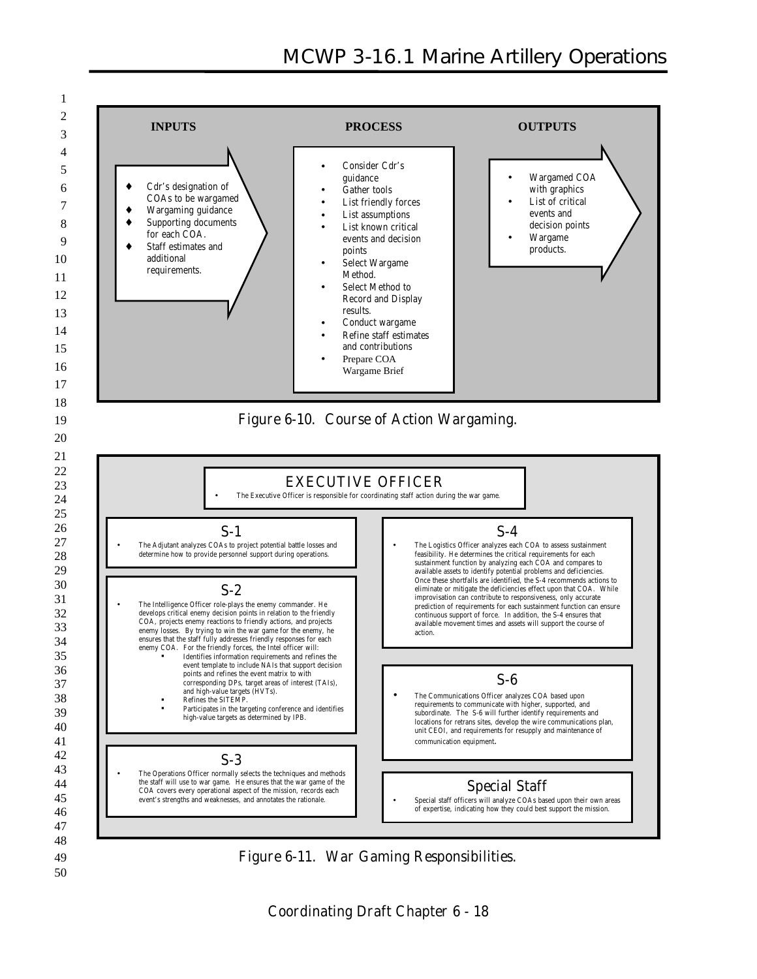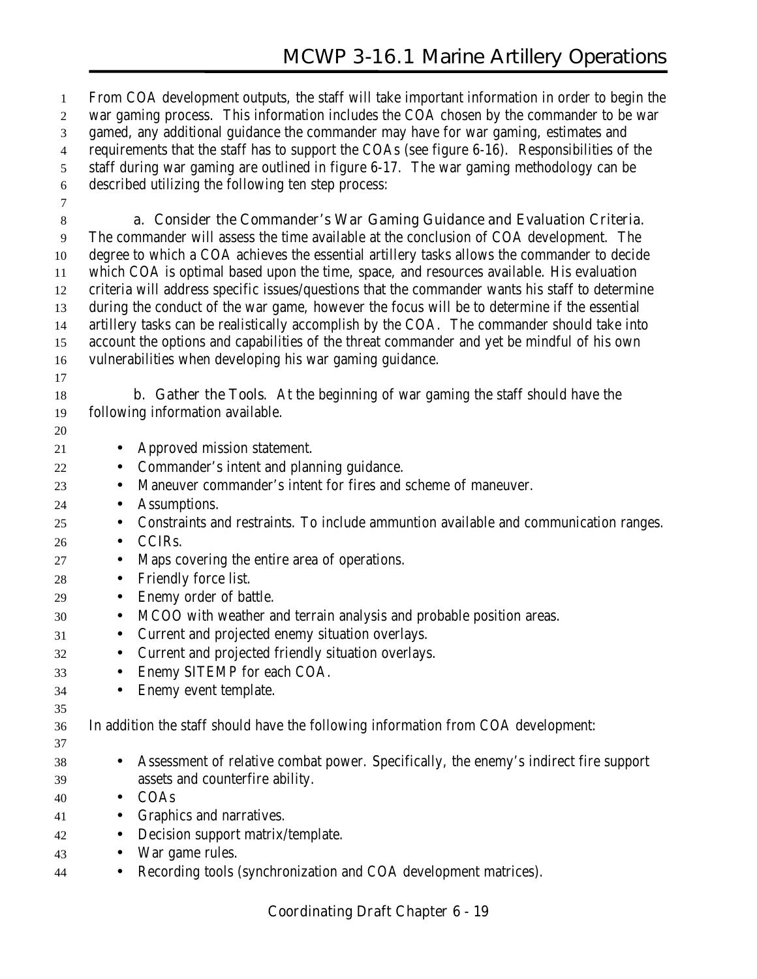From COA development outputs, the staff will take important information in order to begin the war gaming process. This information includes the COA chosen by the commander to be war gamed, any additional guidance the commander may have for war gaming, estimates and requirements that the staff has to support the COAs (see figure 6-16). Responsibilities of the staff during war gaming are outlined in figure 6-17. The war gaming methodology can be described utilizing the following ten step process:

**a. Consider the Commander's War Gaming Guidance and Evaluation Criteria.**

 The commander will assess the time available at the conclusion of COA development. The degree to which a COA achieves the essential artillery tasks allows the commander to decide which COA is optimal based upon the time, space, and resources available. His evaluation criteria will address specific issues/questions that the commander wants his staff to determine during the conduct of the war game, however the focus will be to determine if the essential artillery tasks can be realistically accomplish by the COA. The commander should take into account the options and capabilities of the threat commander and yet be mindful of his own vulnerabilities when developing his war gaming guidance.

 **b. Gather the Tools**. At the beginning of war gaming the staff should have the following information available.

- 
- Approved mission statement.
- Commander's intent and planning guidance.
- Maneuver commander's intent for fires and scheme of maneuver.
- Assumptions.
- Constraints and restraints. To include ammuntion available and communication ranges.
- CCIRs.
- Maps covering the entire area of operations.
- Friendly force list.
- Enemy order of battle.
- MCOO with weather and terrain analysis and probable position areas.
- Current and projected enemy situation overlays.
- Current and projected friendly situation overlays.
- Enemy SITEMP for each COA.
- Enemy event template.
- In addition the staff should have the following information from COA development:
- 

- Assessment of relative combat power. Specifically, the enemy's indirect fire support assets and counterfire ability.
- COAs
- Graphics and narratives.
- Decision support matrix/template.
- War game rules.
- Recording tools (synchronization and COA development matrices).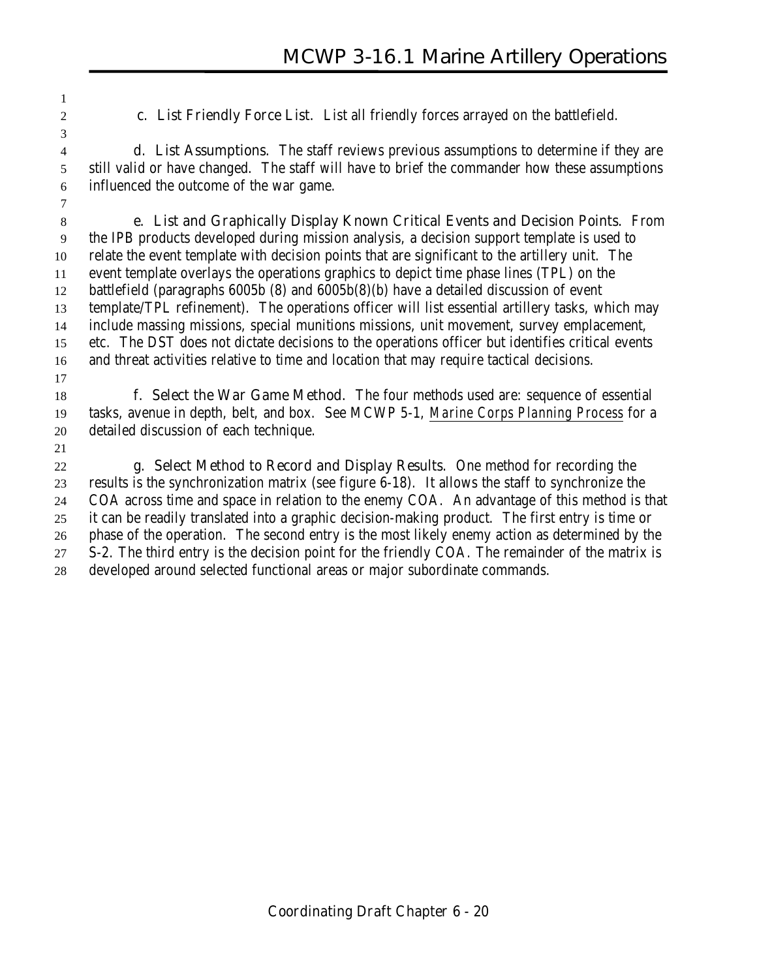**c. List Friendly Force List.** List all friendly forces arrayed on the battlefield.

 **d. List Assumptions.** The staff reviews previous assumptions to determine if they are still valid or have changed. The staff will have to brief the commander how these assumptions influenced the outcome of the war game.

 **e. List and Graphically Display Known Critical Events and Decision Points.** From the IPB products developed during mission analysis, a decision support template is used to relate the event template with decision points that are significant to the artillery unit. The event template overlays the operations graphics to depict time phase lines (TPL) on the battlefield (paragraphs 6005b (8) and 6005b(8)(b) have a detailed discussion of event template/TPL refinement). The operations officer will list essential artillery tasks, which may include massing missions, special munitions missions, unit movement, survey emplacement, etc. The DST does not dictate decisions to the operations officer but identifies critical events and threat activities relative to time and location that may require tactical decisions. 

 **f. Select the War Game Method.** The four methods used are: sequence of essential tasks, avenue in depth, belt, and box. See MCWP 5-1, *Marine Corps Planning Process* for a detailed discussion of each technique.

 **g. Select Method to Record and Display Results.** One method for recording the results is the synchronization matrix (see figure 6-18). It allows the staff to synchronize the COA across time and space in relation to the enemy COA. An advantage of this method is that it can be readily translated into a graphic decision-making product. The first entry is time or phase of the operation. The second entry is the most likely enemy action as determined by the S-2. The third entry is the decision point for the friendly COA. The remainder of the matrix is developed around selected functional areas or major subordinate commands.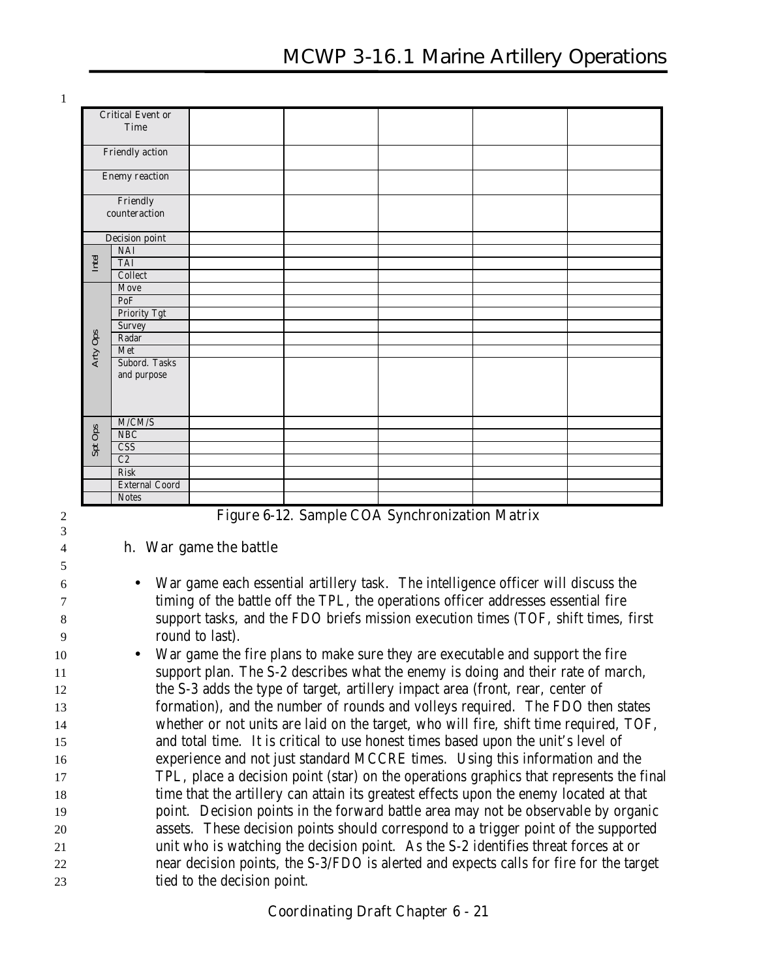3

5

|          | <b>Critical Event or</b><br><b>Time</b> |  |  |  |
|----------|-----------------------------------------|--|--|--|
|          | <b>Friendly action</b>                  |  |  |  |
|          | <b>Enemy reaction</b>                   |  |  |  |
|          | Friendly<br>counteraction               |  |  |  |
|          | <b>Decision point</b>                   |  |  |  |
|          | <b>NAI</b>                              |  |  |  |
| Intel    | <b>TAI</b>                              |  |  |  |
|          | Collect                                 |  |  |  |
|          | Move                                    |  |  |  |
|          | PoF                                     |  |  |  |
|          | <b>Priority Tgt</b>                     |  |  |  |
|          | Survey                                  |  |  |  |
| Arty Ops | Radar                                   |  |  |  |
|          | Met                                     |  |  |  |
|          | Subord. Tasks                           |  |  |  |
|          | and purpose                             |  |  |  |
|          |                                         |  |  |  |
|          |                                         |  |  |  |
|          | M/CM/S                                  |  |  |  |
|          | NBC                                     |  |  |  |
| Spt Ops  | CSS                                     |  |  |  |
|          | C2                                      |  |  |  |
|          | Risk                                    |  |  |  |
|          | <b>External Coord</b>                   |  |  |  |
|          | <b>Notes</b>                            |  |  |  |

#### 4 **h. War game the battle**

 • War game each essential artillery task. The intelligence officer will discuss the timing of the battle off the TPL, the operations officer addresses essential fire support tasks, and the FDO briefs mission execution times (TOF, shift times, first round to last).

 • War game the fire plans to make sure they are executable and support the fire support plan. The S-2 describes what the enemy is doing and their rate of march, the S-3 adds the type of target, artillery impact area (front, rear, center of formation), and the number of rounds and volleys required. The FDO then states whether or not units are laid on the target, who will fire, shift time required, TOF, and total time. It is critical to use honest times based upon the unit's level of experience and not just standard MCCRE times. Using this information and the TPL, place a decision point (star) on the operations graphics that represents the final time that the artillery can attain its greatest effects upon the enemy located at that point. Decision points in the forward battle area may not be observable by organic assets. These decision points should correspond to a trigger point of the supported unit who is watching the decision point. As the S-2 identifies threat forces at or near decision points, the S-3/FDO is alerted and expects calls for fire for the target tied to the decision point.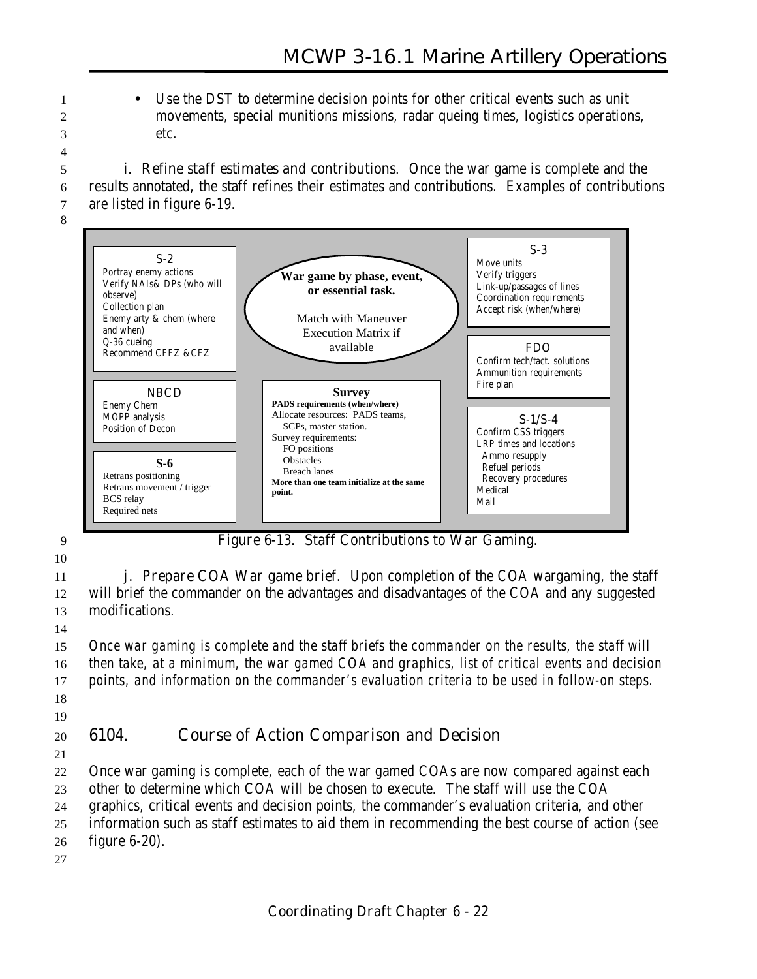1 • Use the DST to determine decision points for other critical events such as unit 2 movements, special munitions missions, radar queing times, logistics operations, 3 etc.

5 **i. Refine staff estimates and contributions.** Once the war game is complete and the 6 results annotated, the staff refines their estimates and contributions. Examples of contributions 7 are listed in figure 6-19.



10

4

8

9 **Figure 6-13. Staff Contributions to War Gaming.**

11 **j. Prepare COA War game brief.** Upon completion of the COA wargaming, the staff 12 will brief the commander on the advantages and disadvantages of the COA and any suggested 13 modifications.

14

 *Once war gaming is complete and the staff briefs the commander on the results, the staff will then take, at a minimum, the war gamed COA and graphics, list of critical events and decision points, and information on the commander's evaluation criteria to be used in follow-on steps.* 18

19

# 20 **6104. Course of Action Comparison and Decision**

21

22 Once war gaming is complete, each of the war gamed COAs are now compared against each 23 other to determine which COA will be chosen to execute. The staff will use the COA 24 graphics, critical events and decision points, the commander's evaluation criteria, and other

25 information such as staff estimates to aid them in recommending the best course of action (see

26 figure 6-20).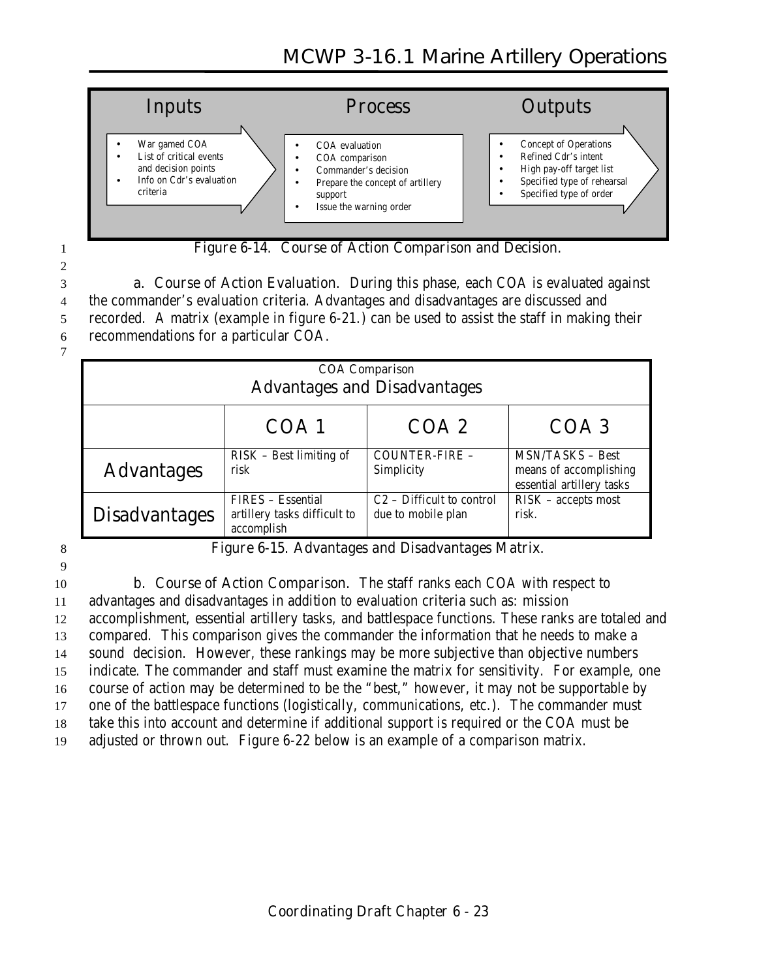

1 **Figure 6-14. Course of Action Comparison and Decision.**

 **a. Course of Action Evaluation**. During this phase, each COA is evaluated against the commander's evaluation criteria. Advantages and disadvantages are discussed and recorded. A matrix (example in figure 6-21.) can be used to assist the staff in making their recommendations for a particular COA.

7

2

| <b>COA Comparison</b><br><b>Advantages and Disadvantages</b> |                                                                 |                                                   |                                                                                |  |
|--------------------------------------------------------------|-----------------------------------------------------------------|---------------------------------------------------|--------------------------------------------------------------------------------|--|
|                                                              | COA 1                                                           | COA2                                              | COA <sub>3</sub>                                                               |  |
| <b>Advantages</b>                                            | RISK – Best limiting of<br>risk                                 | COUNTER-FIRE -<br>Simplicity                      | <b>MSN/TASKS - Best</b><br>means of accomplishing<br>essential artillery tasks |  |
| <b>Disadvantages</b>                                         | FIRES - Essential<br>artillery tasks difficult to<br>accomplish | $C2$ – Difficult to control<br>due to mobile plan | RISK - accepts most<br>risk.                                                   |  |

9

8 **Figure 6-15. Advantages and Disadvantages Matrix.**

 **b. Course of Action Comparison.** The staff ranks each COA with respect to advantages and disadvantages in addition to evaluation criteria such as: mission accomplishment, essential artillery tasks, and battlespace functions. These ranks are totaled and compared. This comparison gives the commander the information that he needs to make a sound decision. However, these rankings may be more subjective than objective numbers indicate. The commander and staff must examine the matrix for sensitivity. For example, one course of action may be determined to be the "best," however, it may not be supportable by one of the battlespace functions (logistically, communications, etc.). The commander must take this into account and determine if additional support is required or the COA must be adjusted or thrown out. Figure 6-22 below is an example of a comparison matrix.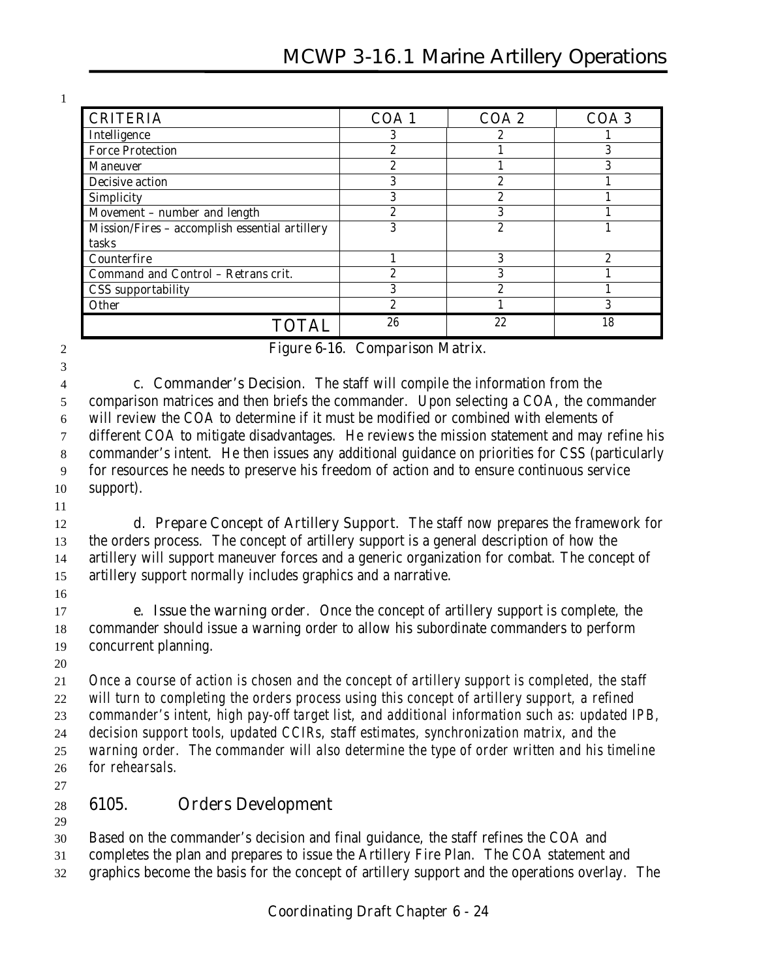| <b>CRITERIA</b>                                | COA <sub>1</sub> | COA <sub>2</sub> | COA <sub>3</sub> |
|------------------------------------------------|------------------|------------------|------------------|
| <b>Intelligence</b>                            |                  |                  |                  |
| <b>Force Protection</b>                        | ົ                |                  | 3                |
| <b>Maneuver</b>                                | ດ                |                  | റ                |
| <b>Decisive action</b>                         | ი                | 2                |                  |
| <b>Simplicity</b>                              | ი                | 2                |                  |
| Movement - number and length                   | ດ                | 3                |                  |
| Mission/Fires - accomplish essential artillery | ი                | 2                |                  |
| tasks                                          |                  |                  |                  |
| <b>Counterfire</b>                             |                  | 3                | 2                |
| <b>Command and Control - Retrans crit.</b>     | ດ                | 3                |                  |
| <b>CSS</b> supportability                      | 3                | 2                |                  |
| <b>Other</b>                                   | ດ                |                  | 3                |
| <b>TOTAL</b>                                   | 26               | 22               | 18               |

**Figure 6-16. Comparison Matrix.**

 **c. Commander's Decision**. The staff will compile the information from the comparison matrices and then briefs the commander. Upon selecting a COA, the commander will review the COA to determine if it must be modified or combined with elements of different COA to mitigate disadvantages. He reviews the mission statement and may refine his commander's intent. He then issues any additional guidance on priorities for CSS (particularly for resources he needs to preserve his freedom of action and to ensure continuous service support).

 **d. Prepare Concept of Artillery Support**. The staff now prepares the framework for the orders process. The concept of artillery support is a general description of how the artillery will support maneuver forces and a generic organization for combat. The concept of artillery support normally includes graphics and a narrative.

 **e. Issue the warning order**. Once the concept of artillery support is complete, the commander should issue a warning order to allow his subordinate commanders to perform concurrent planning.

 *Once a course of action is chosen and the concept of artillery support is completed, the staff will turn to completing the orders process using this concept of artillery support, a refined commander's intent, high pay-off target list, and additional information such as: updated IPB, decision support tools, updated CCIRs, staff estimates, synchronization matrix, and the*

 *warning order. The commander will also determine the type of order written and his timeline for rehearsals.*

## **6105. Orders Development**

Based on the commander's decision and final guidance, the staff refines the COA and

- completes the plan and prepares to issue the Artillery Fire Plan. The COA statement and
- graphics become the basis for the concept of artillery support and the operations overlay. The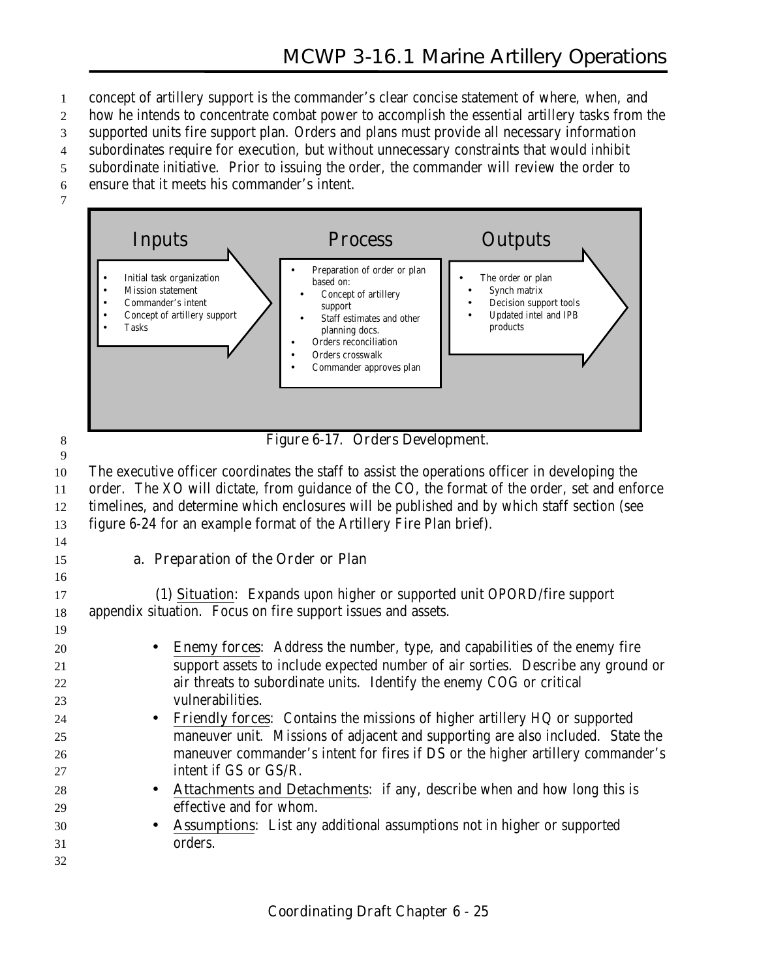- 1 concept of artillery support is the commander's clear concise statement of where, when, and
- 2 how he intends to concentrate combat power to accomplish the essential artillery tasks from the
- 3 supported units fire support plan. Orders and plans must provide all necessary information
- 4 subordinates require for execution, but without unnecessary constraints that would inhibit
- 5 subordinate initiative. Prior to issuing the order, the commander will review the order to
- 6 ensure that it meets his commander's intent.





8 **Figure 6-17. Orders Development.**

9 The executive officer coordinates the staff to assist the operations officer in developing the order. The XO will dictate, from guidance of the CO, the format of the order, set and enforce timelines, and determine which enclosures will be published and by which staff section (see figure 6-24 for an example format of the Artillery Fire Plan brief).

14

16

19

#### 15 **a. Preparation of the Order or Plan**

17 **(1) Situation**: Expands upon higher or supported unit OPORD/fire support 18 appendix situation. Focus on fire support issues and assets.

- 20 **Enemy forces**: Address the number, type, and capabilities of the enemy fire 21 support assets to include expected number of air sorties. Describe any ground or 22 air threats to subordinate units. Identify the enemy COG or critical 23 vulnerabilities. 24 • **Friendly forces**: Contains the missions of higher artillery HQ or supported 25 maneuver unit. Missions of adjacent and supporting are also included. State the 26 maneuver commander's intent for fires if DS or the higher artillery commander's 27 intent if GS or GS/R.
- 28 **Attachments and Detachments**: if any, describe when and how long this is 29 effective and for whom.
- 30 **Assumptions**: List any additional assumptions not in higher or supported 31 orders.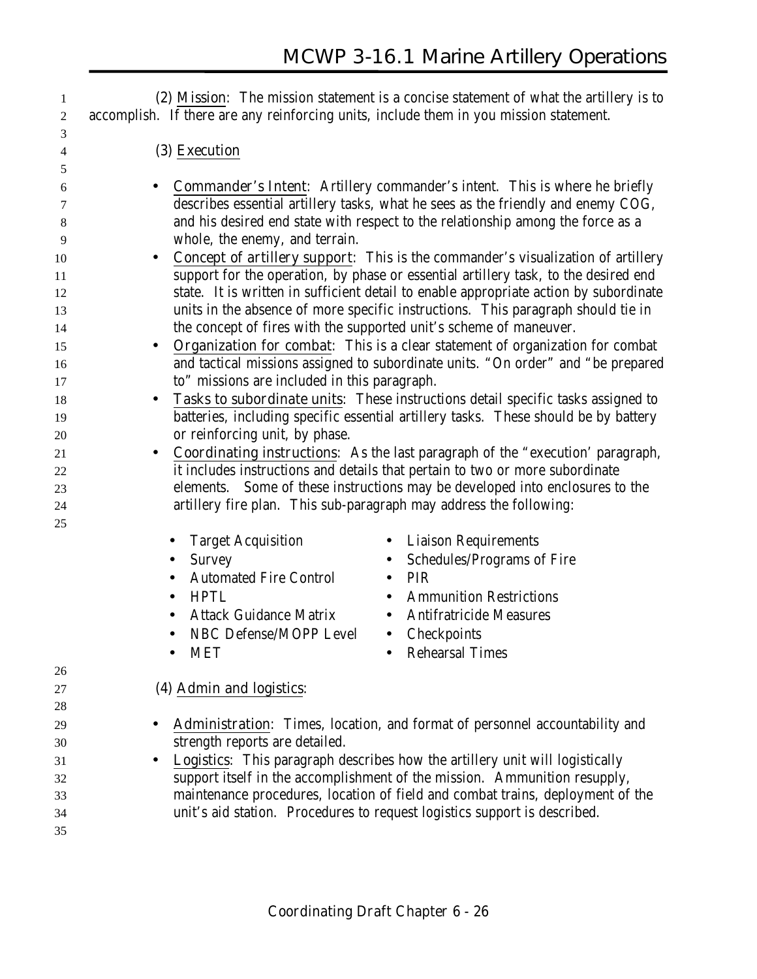**(2) Mission**: The mission statement is a concise statement of what the artillery is to accomplish. If there are any reinforcing units, include them in you mission statement. **(3) Execution** • **Commander's Intent**: Artillery commander's intent. This is where he briefly describes essential artillery tasks, what he sees as the friendly and enemy COG, and his desired end state with respect to the relationship among the force as a whole, the enemy, and terrain. • **Concept of artillery support**: This is the commander's visualization of artillery support for the operation, by phase or essential artillery task, to the desired end state. It is written in sufficient detail to enable appropriate action by subordinate units in the absence of more specific instructions. This paragraph should tie in 14 the concept of fires with the supported unit's scheme of maneuver. • **Organization for combat**: This is a clear statement of organization for combat and tactical missions assigned to subordinate units. "On order" and "be prepared to" missions are included in this paragraph. • **Tasks to subordinate units**: These instructions detail specific tasks assigned to batteries, including specific essential artillery tasks. These should be by battery or reinforcing unit, by phase. • **Coordinating instructions**: As the last paragraph of the "execution' paragraph, it includes instructions and details that pertain to two or more subordinate elements. Some of these instructions may be developed into enclosures to the artillery fire plan. This sub-paragraph may address the following: • Target Acquisition • Liaison Requirements • Survey • Schedules/Programs of Fire • Automated Fire Control • PIR • HPTL • Ammunition Restrictions • Attack Guidance Matrix • Antifratricide Measures • NBC Defense/MOPP Level • Checkpoints MET • Rehearsal Times **(4) Admin and logistics**: • **Administration**: Times, location, and format of personnel accountability and strength reports are detailed. • **Logistics**: This paragraph describes how the artillery unit will logistically support itself in the accomplishment of the mission. Ammunition resupply, maintenance procedures, location of field and combat trains, deployment of the unit's aid station. Procedures to request logistics support is described.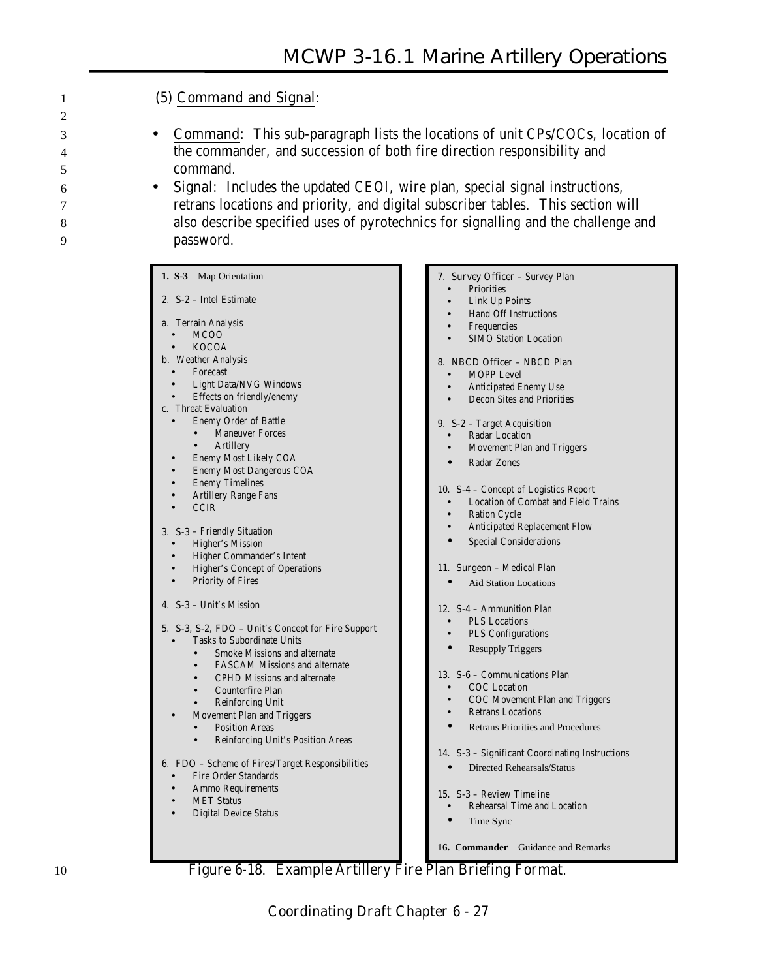#### 1 **(5) Command and Signal**:

- 3 **Command**: This sub-paragraph lists the locations of unit CPs/COCs, location of 4 the commander, and succession of both fire direction responsibility and 5 command.
- 6 **Signal**: Includes the updated CEOI, wire plan, special signal instructions, 7 retrans locations and priority, and digital subscriber tables. This section will 8 also describe specified uses of pyrotechnics for signalling and the challenge and 9 password.
	- **1. S-3** Map Orientation **2. S-2** – Intel Estimate **a**. Terrain Analysis • MCOO • KOCOA **b**. Weather Analysis **Forecast** • Light Data/NVG Windows • Effects on friendly/enemy **c**. Threat Evaluation • Enemy Order of Battle **Maneuver Forces Artillery** • Enemy Most Likely COA • Enemy Most Dangerous COA **Enemy Timelines** • Artillery Range Fans • CCIR **3. S-3** – Friendly Situation • Higher's Mission • Higher Commander's Intent • Higher's Concept of Operations Priority of Fires **4. S-3** – Unit's Mission **5. S-3, S-2, FDO** – Unit's Concept for Fire Support • Tasks to Subordinate Units • Smoke Missions and alternate • FASCAM Missions and alternate • CPHD Missions and alternate • Counterfire Plan • Reinforcing Unit • Movement Plan and Triggers Position Areas • Reinforcing Unit's Position Areas **6. FDO** – Scheme of Fires/Target Responsibilities • Fire Order Standards • Ammo Requirements **MET Status** • Digital Device Status **7. Survey Officer** – Survey Plan **Priorities** Link Up Points • Hand Off Instructions **Frequencies** MOPP Level **9. S-2** – Target Acquisition Radar Location • Radar Zones Ration Cycle **12. S-4** – Ammunition Plan • PLS Locations PLS Configurations • Resupply Triggers • COC Location • Retrans Locations **15. S-3** – Review Timeline • Time Sync

# SIMO Station Location **8. NBCD Officer** – NBCD Plan • Anticipated Enemy Use • Decon Sites and Priorities • Movement Plan and Triggers **10. S-4** – Concept of Logistics Report • Location of Combat and Field Trains • Anticipated Replacement Flow Special Considerations **11. Surgeon** – Medical Plan Aid Station Locations **13. S-6** – Communications Plan • COC Movement Plan and Triggers

• Retrans Priorities and Procedures

**14. S-3** – Significant Coordinating Instructions

- Directed Rehearsals/Status
- Rehearsal Time and Location

**16. Commander** – Guidance and Remarks

10 **Figure 6-18. Example Artillery Fire Plan Briefing Format.**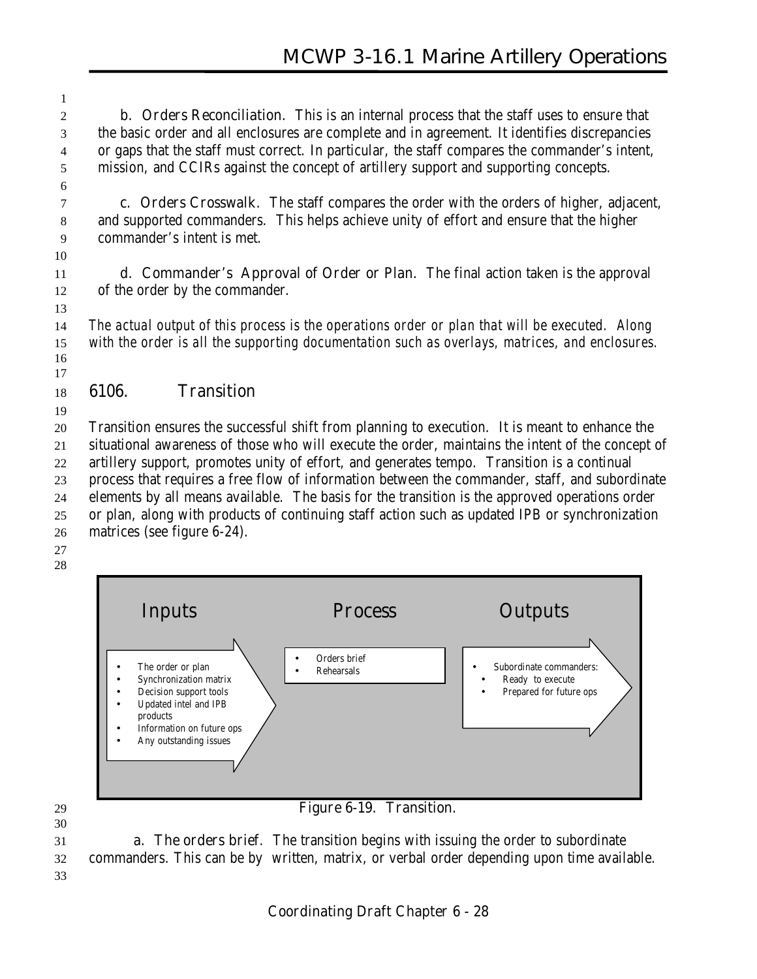**b. Orders Reconciliation.** This is an internal process that the staff uses to ensure that the basic order and all enclosures are complete and in agreement. It identifies discrepancies or gaps that the staff must correct. In particular, the staff compares the commander's intent, mission, and CCIRs against the concept of artillery support and supporting concepts.

 **c. Orders Crosswalk.** The staff compares the order with the orders of higher, adjacent, and supported commanders. This helps achieve unity of effort and ensure that the higher commander's intent is met.

 **d. Commander's Approval of Order or Plan.** The final action taken is the approval of the order by the commander.

 *The actual output of this process is the operations order or plan that will be executed. Along with the order is all the supporting documentation such as overlays, matrices, and enclosures.* 

#### **6106. Transition**

 Transition ensures the successful shift from planning to execution. It is meant to enhance the situational awareness of those who will execute the order, maintains the intent of the concept of artillery support, promotes unity of effort, and generates tempo. Transition is a continual process that requires a free flow of information between the commander, staff, and subordinate elements by all means available. The basis for the transition is the approved operations order or plan, along with products of continuing staff action such as updated IPB or synchronization matrices (see figure 6-24).

 



 **a. The orders brief**. The transition begins with issuing the order to subordinate commanders. This can be by written, matrix, or verbal order depending upon time available.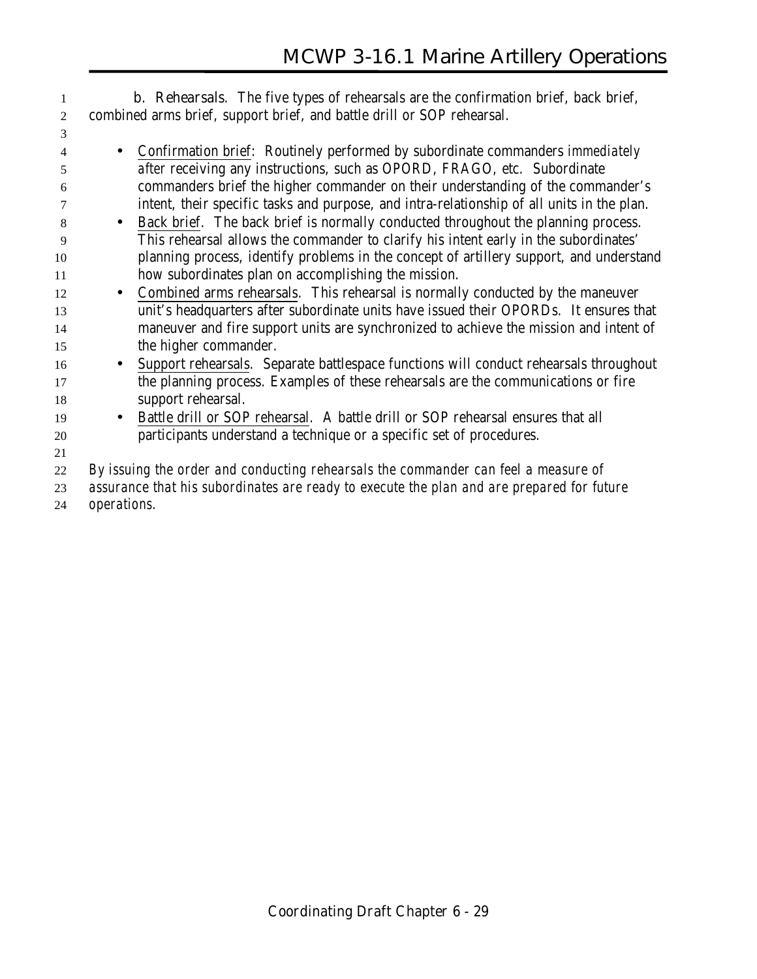**b. Rehearsals**. The five types of rehearsals are the confirmation brief, back brief, combined arms brief, support brief, and battle drill or SOP rehearsal. • Confirmation brief: Routinely performed by subordinate commanders *immediately after* receiving any instructions, such as OPORD, FRAGO, etc. Subordinate commanders brief the higher commander on their understanding of the commander's intent, their specific tasks and purpose, and intra-relationship of all units in the plan. • Back brief. The back brief is normally conducted throughout the planning process. This rehearsal allows the commander to clarify his intent early in the subordinates' planning process, identify problems in the concept of artillery support, and understand how subordinates plan on accomplishing the mission. • Combined arms rehearsals. This rehearsal is normally conducted by the maneuver unit's headquarters after subordinate units have issued their OPORDs. It ensures that maneuver and fire support units are synchronized to achieve the mission and intent of the higher commander. • Support rehearsals. Separate battlespace functions will conduct rehearsals throughout the planning process. Examples of these rehearsals are the communications or fire support rehearsal. • Battle drill or SOP rehearsal. A battle drill or SOP rehearsal ensures that all participants understand a technique or a specific set of procedures. *By issuing the order and conducting rehearsals the commander can feel a measure of assurance that his subordinates are ready to execute the plan and are prepared for future operations.*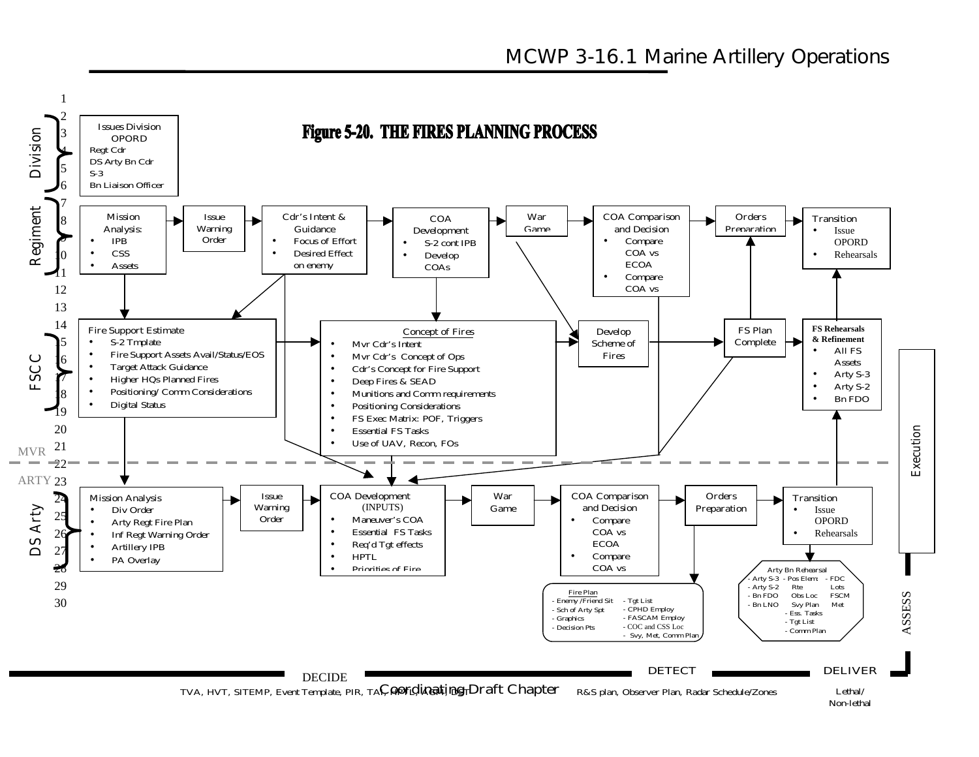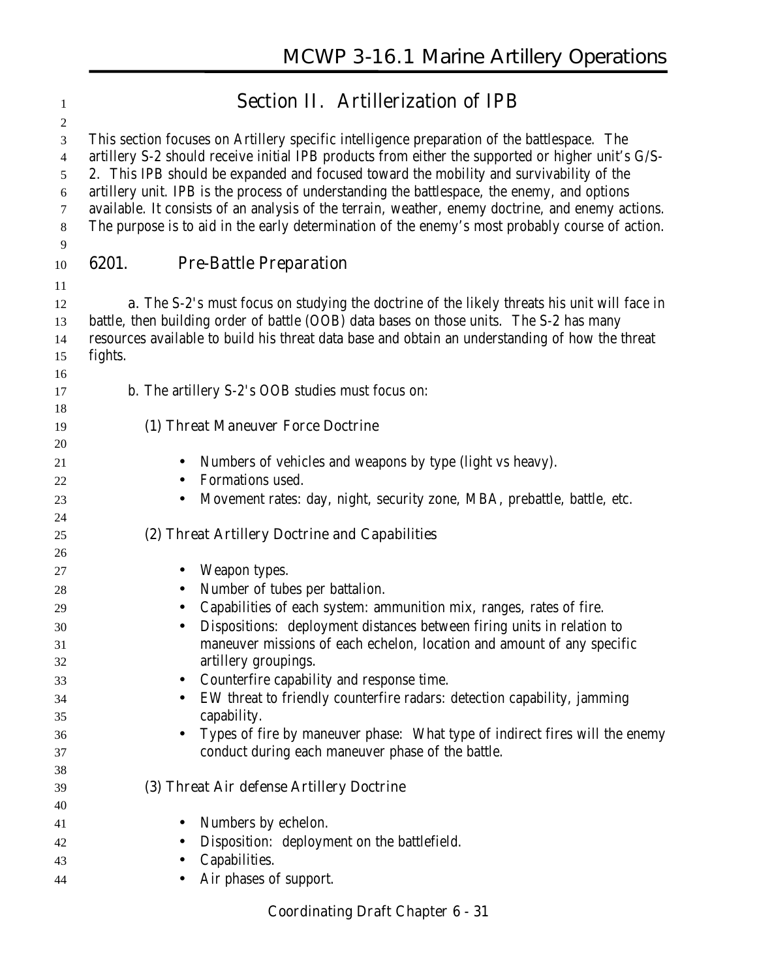| $\mathbf{1}$        | <b>Section II. Artillerization of IPB</b>                                                                                                                                                                                                                                                         |
|---------------------|---------------------------------------------------------------------------------------------------------------------------------------------------------------------------------------------------------------------------------------------------------------------------------------------------|
| $\overline{c}$      |                                                                                                                                                                                                                                                                                                   |
| 3<br>$\overline{4}$ | This section focuses on Artillery specific intelligence preparation of the battlespace. The<br>artillery S-2 should receive initial IPB products from either the supported or higher unit's G/S-                                                                                                  |
| 5                   | 2. This IPB should be expanded and focused toward the mobility and survivability of the                                                                                                                                                                                                           |
| 6                   | artillery unit. IPB is the process of understanding the battlespace, the enemy, and options                                                                                                                                                                                                       |
| 7                   | available. It consists of an analysis of the terrain, weather, enemy doctrine, and enemy actions.                                                                                                                                                                                                 |
| 8                   | The purpose is to aid in the early determination of the enemy's most probably course of action.                                                                                                                                                                                                   |
| 9<br>10             | 6201.<br><b>Pre-Battle Preparation</b>                                                                                                                                                                                                                                                            |
| 11                  |                                                                                                                                                                                                                                                                                                   |
| 12<br>13<br>14      | <b>a.</b> The S-2's must focus on studying the doctrine of the likely threats his unit will face in<br>battle, then building order of battle (OOB) data bases on those units. The S-2 has many<br>resources available to build his threat data base and obtain an understanding of how the threat |
| 15                  | fights.                                                                                                                                                                                                                                                                                           |
| 16<br>17            | b. The artillery S-2's OOB studies must focus on:                                                                                                                                                                                                                                                 |
| 18                  |                                                                                                                                                                                                                                                                                                   |
| 19                  | (1) Threat Maneuver Force Doctrine                                                                                                                                                                                                                                                                |
| 20                  |                                                                                                                                                                                                                                                                                                   |
| 21                  | Numbers of vehicles and weapons by type (light vs heavy).<br>$\bullet$                                                                                                                                                                                                                            |
| 22                  | Formations used.                                                                                                                                                                                                                                                                                  |
| 23<br>24            | Movement rates: day, night, security zone, MBA, prebattle, battle, etc.<br>$\bullet$                                                                                                                                                                                                              |
| 25<br>26            | (2) Threat Artillery Doctrine and Capabilities                                                                                                                                                                                                                                                    |
| 27                  | Weapon types.                                                                                                                                                                                                                                                                                     |
| 28                  | Number of tubes per battalion.<br>$\bullet$                                                                                                                                                                                                                                                       |
| 29                  | Capabilities of each system: ammunition mix, ranges, rates of fire.<br>$\bullet$                                                                                                                                                                                                                  |
| 30                  | Dispositions: deployment distances between firing units in relation to                                                                                                                                                                                                                            |
| 31                  | maneuver missions of each echelon, location and amount of any specific                                                                                                                                                                                                                            |
| 32                  | artillery groupings.                                                                                                                                                                                                                                                                              |
| 33                  | Counterfire capability and response time.                                                                                                                                                                                                                                                         |
| 34<br>35            | EW threat to friendly counterfire radars: detection capability, jamming<br>capability.                                                                                                                                                                                                            |
| 36                  | Types of fire by maneuver phase: What type of indirect fires will the enemy<br>$\bullet$                                                                                                                                                                                                          |
| 37                  | conduct during each maneuver phase of the battle.                                                                                                                                                                                                                                                 |
| 38                  |                                                                                                                                                                                                                                                                                                   |
| 39                  | (3) Threat Air defense Artillery Doctrine                                                                                                                                                                                                                                                         |
| 40                  | Numbers by echelon.<br>$\bullet$                                                                                                                                                                                                                                                                  |
| 41<br>42            | Disposition: deployment on the battlefield.                                                                                                                                                                                                                                                       |
| 43                  | Capabilities.                                                                                                                                                                                                                                                                                     |
| 44                  | Air phases of support.                                                                                                                                                                                                                                                                            |
|                     |                                                                                                                                                                                                                                                                                                   |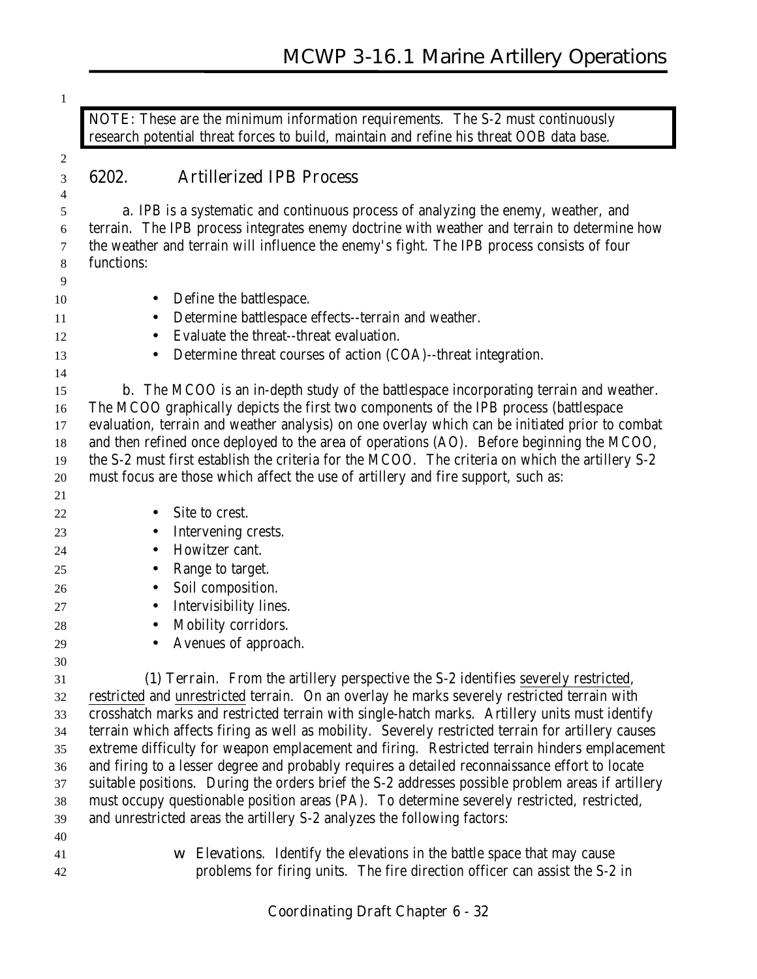**NOTE:** These are the minimum information requirements. The S-2 must continuously research potential threat forces to build, maintain and refine his threat OOB data base.

# 

#### **6202. Artillerized IPB Process**

 **a.** IPB is a systematic and continuous process of analyzing the enemy, weather, and terrain. The IPB process integrates enemy doctrine with weather and terrain to determine how the weather and terrain will influence the enemy's fight. The IPB process consists of four functions:

- 10 Define the battlespace.
- 11 Determine battlespace effects--terrain and weather.
- Evaluate the threat--threat evaluation.
- Determine threat courses of action (COA)--threat integration.

**b.** The MCOO is an in-depth study of the battlespace incorporating terrain and weather. The MCOO graphically depicts the first two components of the IPB process (battlespace evaluation, terrain and weather analysis) on one overlay which can be initiated prior to combat and then refined once deployed to the area of operations (AO). Before beginning the MCOO, the S-2 must first establish the criteria for the MCOO. The criteria on which the artillery S-2 must focus are those which affect the use of artillery and fire support, such as:

• Site to crest.

- Intervening crests.
- 24 Howitzer cant.
- Range to target.
- Soil composition.
- Intervisibility lines.
- 28 Mobility corridors.
- 

• Avenues of approach.

 **(1) Terrain**. From the artillery perspective the S-2 identifies severely restricted, restricted and unrestricted terrain. On an overlay he marks severely restricted terrain with crosshatch marks and restricted terrain with single-hatch marks. Artillery units must identify terrain which affects firing as well as mobility. Severely restricted terrain for artillery causes extreme difficulty for weapon emplacement and firing. Restricted terrain hinders emplacement and firing to a lesser degree and probably requires a detailed reconnaissance effort to locate suitable positions. During the orders brief the S-2 addresses possible problem areas if artillery must occupy questionable position areas (PA). To determine severely restricted, restricted, and unrestricted areas the artillery S-2 analyzes the following factors:

- 
- 

 w **Elevations**. Identify the elevations in the battle space that may cause problems for firing units. The fire direction officer can assist the S-2 in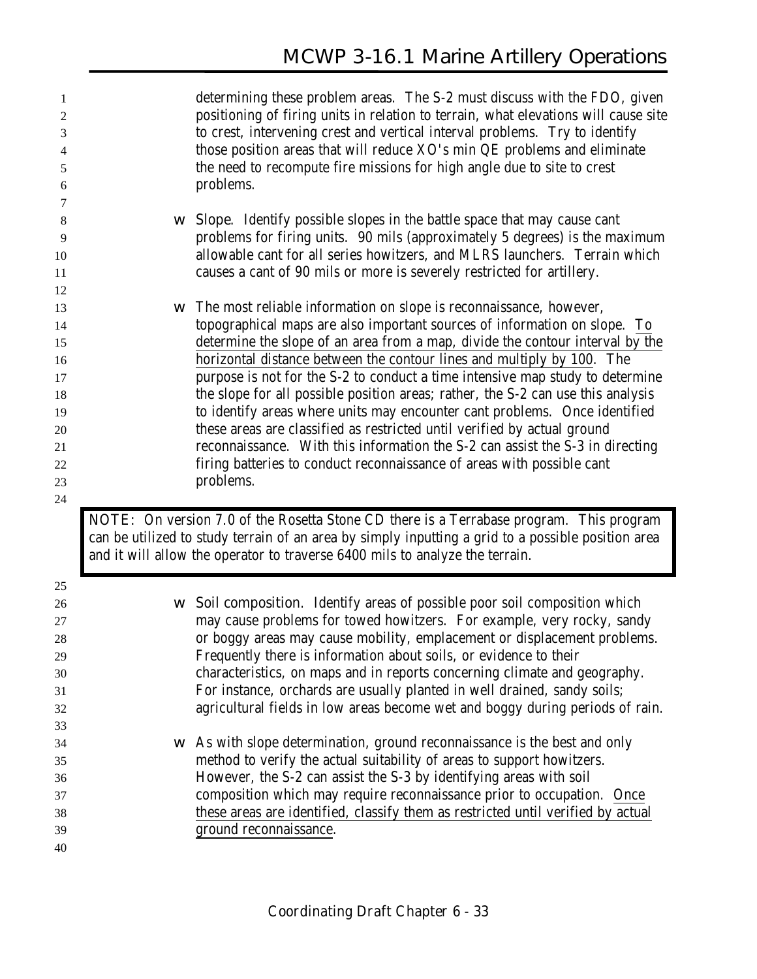| 1<br>2<br>3<br>4<br>5<br>6 |             | determining these problem areas. The S-2 must discuss with the FDO, given<br>positioning of firing units in relation to terrain, what elevations will cause site<br>to crest, intervening crest and vertical interval problems. Try to identify<br>those position areas that will reduce XO's min QE problems and eliminate<br>the need to recompute fire missions for high angle due to site to crest<br>problems. |
|----------------------------|-------------|---------------------------------------------------------------------------------------------------------------------------------------------------------------------------------------------------------------------------------------------------------------------------------------------------------------------------------------------------------------------------------------------------------------------|
| 7                          |             |                                                                                                                                                                                                                                                                                                                                                                                                                     |
| 8                          | W           | <b>Slope.</b> Identify possible slopes in the battle space that may cause cant                                                                                                                                                                                                                                                                                                                                      |
| 9                          |             | problems for firing units. 90 mils (approximately 5 degrees) is the maximum                                                                                                                                                                                                                                                                                                                                         |
| 10                         |             | allowable cant for all series howitzers, and MLRS launchers. Terrain which                                                                                                                                                                                                                                                                                                                                          |
| 11                         |             | causes a cant of 90 mils or more is severely restricted for artillery.                                                                                                                                                                                                                                                                                                                                              |
| 12<br>13                   | W           | The most reliable information on slope is reconnaissance, however,                                                                                                                                                                                                                                                                                                                                                  |
| 14                         |             | topographical maps are also important sources of information on slope. To                                                                                                                                                                                                                                                                                                                                           |
| 15                         |             | determine the slope of an area from a map, divide the contour interval by the                                                                                                                                                                                                                                                                                                                                       |
| 16                         |             | horizontal distance between the contour lines and multiply by 100. The                                                                                                                                                                                                                                                                                                                                              |
| 17                         |             | purpose is not for the S-2 to conduct a time intensive map study to determine                                                                                                                                                                                                                                                                                                                                       |
| 18                         |             | the slope for all possible position areas; rather, the S-2 can use this analysis                                                                                                                                                                                                                                                                                                                                    |
| 19                         |             | to identify areas where units may encounter cant problems. Once identified                                                                                                                                                                                                                                                                                                                                          |
| 20                         |             | these areas are classified as restricted until verified by actual ground                                                                                                                                                                                                                                                                                                                                            |
| 21                         |             | reconnaissance. With this information the S-2 can assist the S-3 in directing                                                                                                                                                                                                                                                                                                                                       |
| 22                         |             | firing batteries to conduct reconnaissance of areas with possible cant                                                                                                                                                                                                                                                                                                                                              |
| 23                         |             | problems.                                                                                                                                                                                                                                                                                                                                                                                                           |
| 24                         |             |                                                                                                                                                                                                                                                                                                                                                                                                                     |
|                            |             | <b>NOTE:</b> On version 7.0 of the Rosetta Stone CD there is a Terrabase program. This program<br>can be utilized to study terrain of an area by simply inputting a grid to a possible position area<br>and it will allow the operator to traverse 6400 mils to analyze the terrain.                                                                                                                                |
| 25                         |             |                                                                                                                                                                                                                                                                                                                                                                                                                     |
| 26                         | $\mathbf W$ | Soil composition. Identify areas of possible poor soil composition which                                                                                                                                                                                                                                                                                                                                            |
| $27\,$                     |             | may cause problems for towed howitzers. For example, very rocky, sandy                                                                                                                                                                                                                                                                                                                                              |
| $28\,$                     |             | or boggy areas may cause mobility, emplacement or displacement problems.                                                                                                                                                                                                                                                                                                                                            |
| 29                         |             | Frequently there is information about soils, or evidence to their                                                                                                                                                                                                                                                                                                                                                   |
| 30                         |             | characteristics, on maps and in reports concerning climate and geography.                                                                                                                                                                                                                                                                                                                                           |
| 31                         |             | For instance, orchards are usually planted in well drained, sandy soils;                                                                                                                                                                                                                                                                                                                                            |
| 32                         |             | agricultural fields in low areas become wet and boggy during periods of rain.                                                                                                                                                                                                                                                                                                                                       |
| 33                         |             |                                                                                                                                                                                                                                                                                                                                                                                                                     |
|                            |             |                                                                                                                                                                                                                                                                                                                                                                                                                     |

 w As with slope determination, ground reconnaissance is the best and only method to verify the actual suitability of areas to support howitzers. However, the S-2 can assist the S-3 by identifying areas with soil composition which may require reconnaissance prior to occupation. Once these areas are identified, classify them as restricted until verified by actual ground reconnaissance.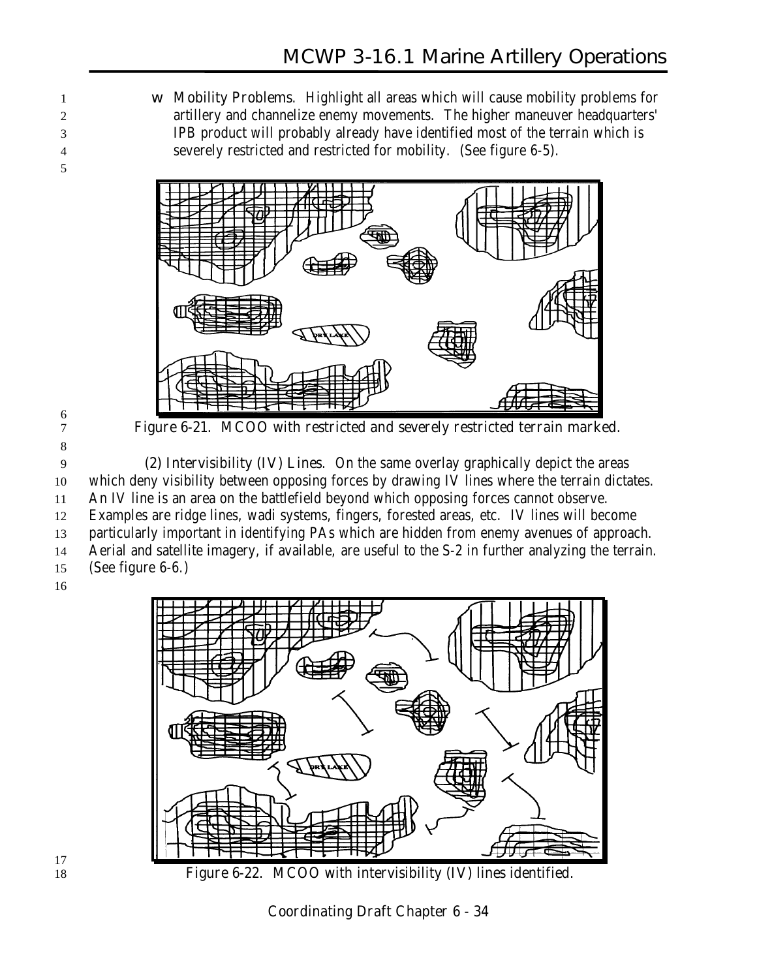w **Mobility Problems**. Highlight all areas which will cause mobility problems for artillery and channelize enemy movements. The higher maneuver headquarters' IPB product will probably already have identified most of the terrain which is severely restricted and restricted for mobility. (See figure 6-5).



 

**Figure 6-21. MCOO with restricted and severely restricted terrain marked.**

 **(2) Intervisibility (IV) Lines**. On the same overlay graphically depict the areas which deny visibility between opposing forces by drawing IV lines where the terrain dictates. An IV line is an area on the battlefield beyond which opposing forces cannot observe. Examples are ridge lines, wadi systems, fingers, forested areas, etc. IV lines will become particularly important in identifying PAs which are hidden from enemy avenues of approach. Aerial and satellite imagery, if available, are useful to the S-2 in further analyzing the terrain. (See figure 6-6.)





 **Figure 6-22. MCOO with intervisibility (IV) lines identified.**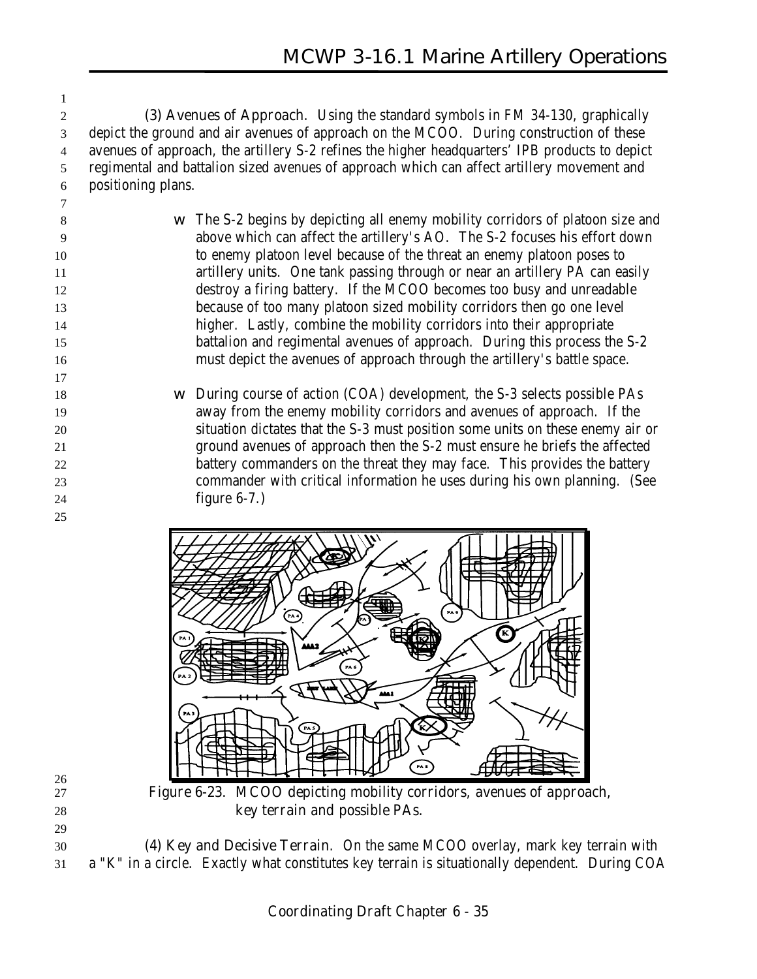**(3) Avenues of Approach**. Using the standard symbols in FM 34-130, graphically depict the ground and air avenues of approach on the MCOO. During construction of these avenues of approach, the artillery S-2 refines the higher headquarters' IPB products to depict regimental and battalion sized avenues of approach which can affect artillery movement and positioning plans.

 w The S-2 begins by depicting all enemy mobility corridors of platoon size and above which can affect the artillery's AO. The S-2 focuses his effort down to enemy platoon level because of the threat an enemy platoon poses to artillery units. One tank passing through or near an artillery PA can easily destroy a firing battery. If the MCOO becomes too busy and unreadable because of too many platoon sized mobility corridors then go one level higher. Lastly, combine the mobility corridors into their appropriate battalion and regimental avenues of approach. During this process the S-2 must depict the avenues of approach through the artillery's battle space.

 w During course of action (COA) development, the S-3 selects possible PAs away from the enemy mobility corridors and avenues of approach. If the situation dictates that the S-3 must position some units on these enemy air or ground avenues of approach then the S-2 must ensure he briefs the affected 22 battery commanders on the threat they may face. This provides the battery commander with critical information he uses during his own planning. (See figure 6-7.)



 **(4) Key and Decisive Terrain**. On the same MCOO overlay, mark key terrain with a "K" in a circle. Exactly what constitutes key terrain is situationally dependent. During COA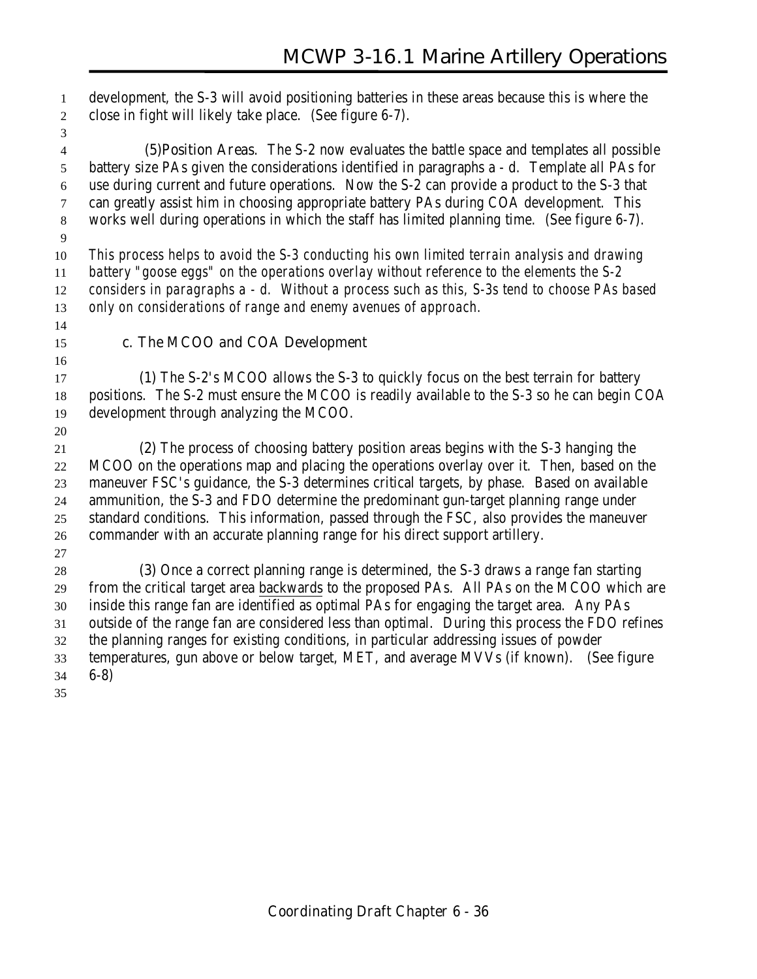development, the S-3 will avoid positioning batteries in these areas because this is where the close in fight will likely take place. (See figure 6-7).

 **(5)Position Areas**. The S-2 now evaluates the battle space and templates all possible battery size PAs given the considerations identified in paragraphs a - d. Template all PAs for use during current and future operations. Now the S-2 can provide a product to the S-3 that can greatly assist him in choosing appropriate battery PAs during COA development. This works well during operations in which the staff has limited planning time. (See figure 6-7). *This process helps to avoid the S-3 conducting his own limited terrain analysis and drawing battery "goose eggs" on the operations overlay without reference to the elements the S-2*

 *considers in paragraphs a - d. Without a process such as this, S-3s tend to choose PAs based only on considerations of range and enemy avenues of approach.*

#### **c. The MCOO and COA Development**

 **(1)** The S-2's MCOO allows the S-3 to quickly focus on the best terrain for battery positions. The S-2 must ensure the MCOO is readily available to the S-3 so he can begin COA development through analyzing the MCOO.

 **(2)** The process of choosing battery position areas begins with the S-3 hanging the MCOO on the operations map and placing the operations overlay over it. Then, based on the maneuver FSC's guidance, the S-3 determines critical targets, by phase. Based on available ammunition, the S-3 and FDO determine the predominant gun-target planning range under standard conditions. This information, passed through the FSC, also provides the maneuver commander with an accurate planning range for his direct support artillery.

 **(3)** Once a correct planning range is determined, the S-3 draws a range fan starting from the critical target area backwards to the proposed PAs. All PAs on the MCOO which are inside this range fan are identified as optimal PAs for engaging the target area. Any PAs outside of the range fan are considered less than optimal. During this process the FDO refines the planning ranges for existing conditions, in particular addressing issues of powder temperatures, gun above or below target, MET, and average MVVs (if known). (See figure 6-8)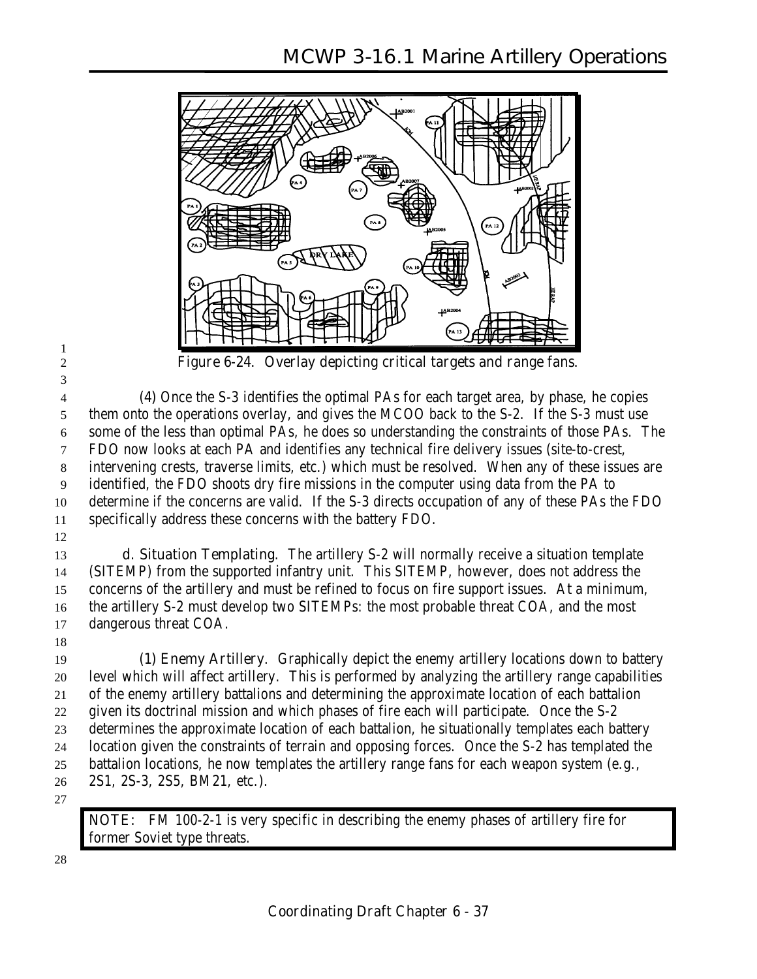

**Figure 6-24. Overlay depicting critical targets and range fans.**

 **(4)** Once the S-3 identifies the optimal PAs for each target area, by phase, he copies them onto the operations overlay, and gives the MCOO back to the S-2. If the S-3 must use some of the less than optimal PAs, he does so understanding the constraints of those PAs. The FDO now looks at each PA and identifies any technical fire delivery issues (site-to-crest, intervening crests, traverse limits, etc.) which must be resolved. When any of these issues are identified, the FDO shoots dry fire missions in the computer using data from the PA to determine if the concerns are valid. If the S-3 directs occupation of any of these PAs the FDO specifically address these concerns with the battery FDO.

 **d. Situation Templating**. The artillery S-2 will normally receive a situation template (SITEMP) from the supported infantry unit. This SITEMP, however, does not address the concerns of the artillery and must be refined to focus on fire support issues. At a minimum, the artillery S-2 must develop two SITEMPs: the most probable threat COA, and the most dangerous threat COA.

 **(1) Enemy Artillery**. Graphically depict the enemy artillery locations down to battery level which will affect artillery. This is performed by analyzing the artillery range capabilities of the enemy artillery battalions and determining the approximate location of each battalion given its doctrinal mission and which phases of fire each will participate. Once the S-2 determines the approximate location of each battalion, he situationally templates each battery location given the constraints of terrain and opposing forces. Once the S-2 has templated the battalion locations, he now templates the artillery range fans for each weapon system (e.g., 2S1, 2S-3, 2S5, BM21, etc.).

**NOTE:** FM 100-2-1 is very specific in describing the enemy phases of artillery fire for former Soviet type threats.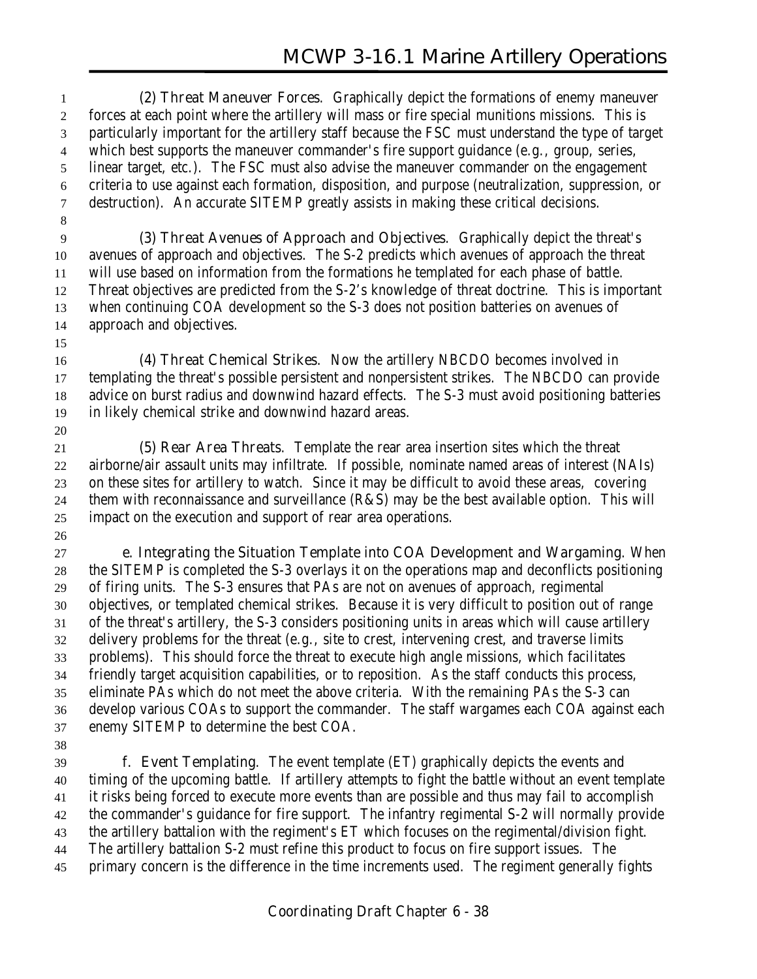**(2) Threat Maneuver Forces**. Graphically depict the formations of enemy maneuver forces at each point where the artillery will mass or fire special munitions missions. This is particularly important for the artillery staff because the FSC must understand the type of target which best supports the maneuver commander's fire support guidance (e.g., group, series, linear target, etc.). The FSC must also advise the maneuver commander on the engagement criteria to use against each formation, disposition, and purpose (neutralization, suppression, or destruction). An accurate SITEMP greatly assists in making these critical decisions. 

 **(3) Threat Avenues of Approach and Objectives**. Graphically depict the threat's avenues of approach and objectives. The S-2 predicts which avenues of approach the threat will use based on information from the formations he templated for each phase of battle. Threat objectives are predicted from the S-2's knowledge of threat doctrine. This is important when continuing COA development so the S-3 does not position batteries on avenues of approach and objectives.

 **(4) Threat Chemical Strikes**. Now the artillery NBCDO becomes involved in templating the threat's possible persistent and nonpersistent strikes. The NBCDO can provide advice on burst radius and downwind hazard effects. The S-3 must avoid positioning batteries in likely chemical strike and downwind hazard areas.

 **(5) Rear Area Threats**. Template the rear area insertion sites which the threat airborne/air assault units may infiltrate. If possible, nominate named areas of interest (NAIs) on these sites for artillery to watch. Since it may be difficult to avoid these areas, covering them with reconnaissance and surveillance (R&S) may be the best available option. This will impact on the execution and support of rear area operations.

 **e. Integrating the Situation Template into COA Development and Wargaming**. When the SITEMP is completed the S-3 overlays it on the operations map and deconflicts positioning of firing units. The S-3 ensures that PAs are not on avenues of approach, regimental objectives, or templated chemical strikes. Because it is very difficult to position out of range of the threat's artillery, the S-3 considers positioning units in areas which will cause artillery delivery problems for the threat (e.g., site to crest, intervening crest, and traverse limits problems). This should force the threat to execute high angle missions, which facilitates friendly target acquisition capabilities, or to reposition. As the staff conducts this process, eliminate PAs which do not meet the above criteria. With the remaining PAs the S-3 can develop various COAs to support the commander. The staff wargames each COA against each enemy SITEMP to determine the best COA.

 **f. Event Templating**. The event template (ET) graphically depicts the events and timing of the upcoming battle. If artillery attempts to fight the battle without an event template it risks being forced to execute more events than are possible and thus may fail to accomplish the commander's guidance for fire support. The infantry regimental S-2 will normally provide the artillery battalion with the regiment's ET which focuses on the regimental/division fight. The artillery battalion S-2 must refine this product to focus on fire support issues. The primary concern is the difference in the time increments used. The regiment generally fights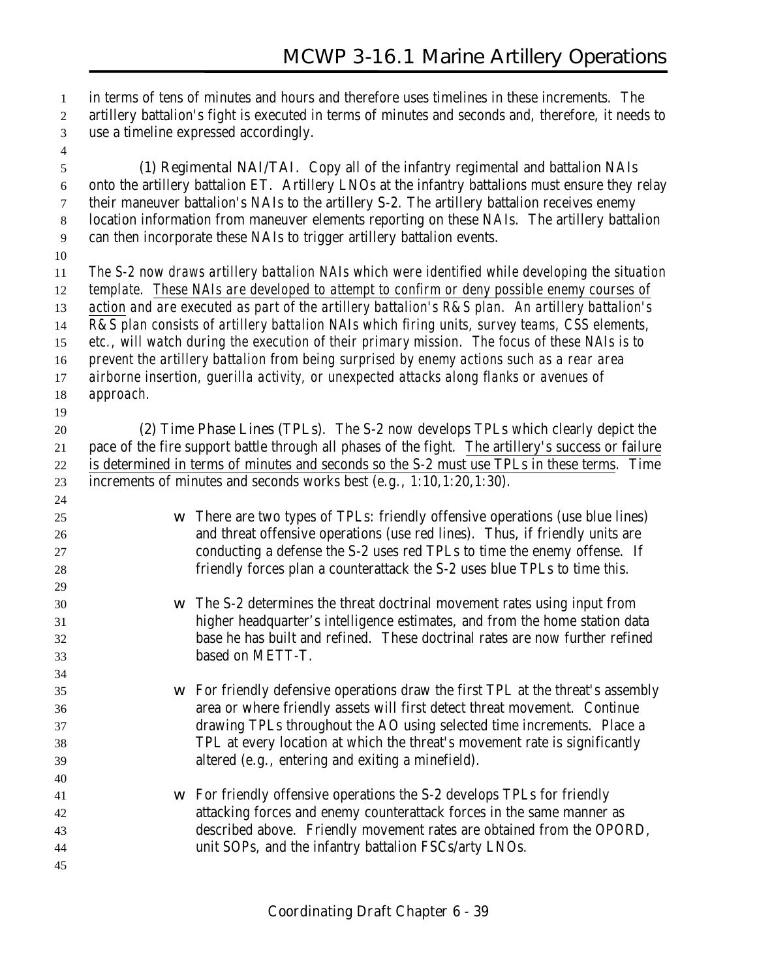in terms of tens of minutes and hours and therefore uses timelines in these increments. The artillery battalion's fight is executed in terms of minutes and seconds and, therefore, it needs to use a timeline expressed accordingly.

- **(1) Regimental NAI/TAI**. Copy all of the infantry regimental and battalion NAIs onto the artillery battalion ET. Artillery LNOs at the infantry battalions must ensure they relay their maneuver battalion's NAIs to the artillery S-2. The artillery battalion receives enemy location information from maneuver elements reporting on these NAIs. The artillery battalion can then incorporate these NAIs to trigger artillery battalion events.
- 

*The S-2 now draws artillery battalion NAIs which were identified while developing the situation*

*template. These NAIs are developed to attempt to confirm or deny possible enemy courses of*

*action and are executed as part of the artillery battalion's R&S plan. An artillery battalion's*

*R&S plan consists of artillery battalion NAIs which firing units, survey teams, CSS elements,*

*etc., will watch during the execution of their primary mission. The focus of these NAIs is to*

*prevent the artillery battalion from being surprised by enemy actions such as a rear area*

- *airborne insertion, guerilla activity, or unexpected attacks along flanks or avenues of approach.*
- 

 **(2) Time Phase Lines (TPLs)**. The S-2 now develops TPLs which clearly depict the pace of the fire support battle through all phases of the fight. The artillery's success or failure is determined in terms of minutes and seconds so the S-2 must use TPLs in these terms. Time increments of minutes and seconds works best (e.g., 1:10,1:20,1:30).

- w There are two types of TPLs: friendly offensive operations (use blue lines) and threat offensive operations (use red lines). Thus, if friendly units are conducting a defense the S-2 uses red TPLs to time the enemy offense. If friendly forces plan a counterattack the S-2 uses blue TPLs to time this.
- w The S-2 determines the threat doctrinal movement rates using input from higher headquarter's intelligence estimates, and from the home station data base he has built and refined. These doctrinal rates are now further refined based on METT-T.
- w For friendly defensive operations draw the first TPL at the threat's assembly area or where friendly assets will first detect threat movement. Continue drawing TPLs throughout the AO using selected time increments. Place a TPL at every location at which the threat's movement rate is significantly altered (e.g., entering and exiting a minefield).
- w For friendly offensive operations the S-2 develops TPLs for friendly attacking forces and enemy counterattack forces in the same manner as described above. Friendly movement rates are obtained from the OPORD, unit SOPs, and the infantry battalion FSCs/arty LNOs.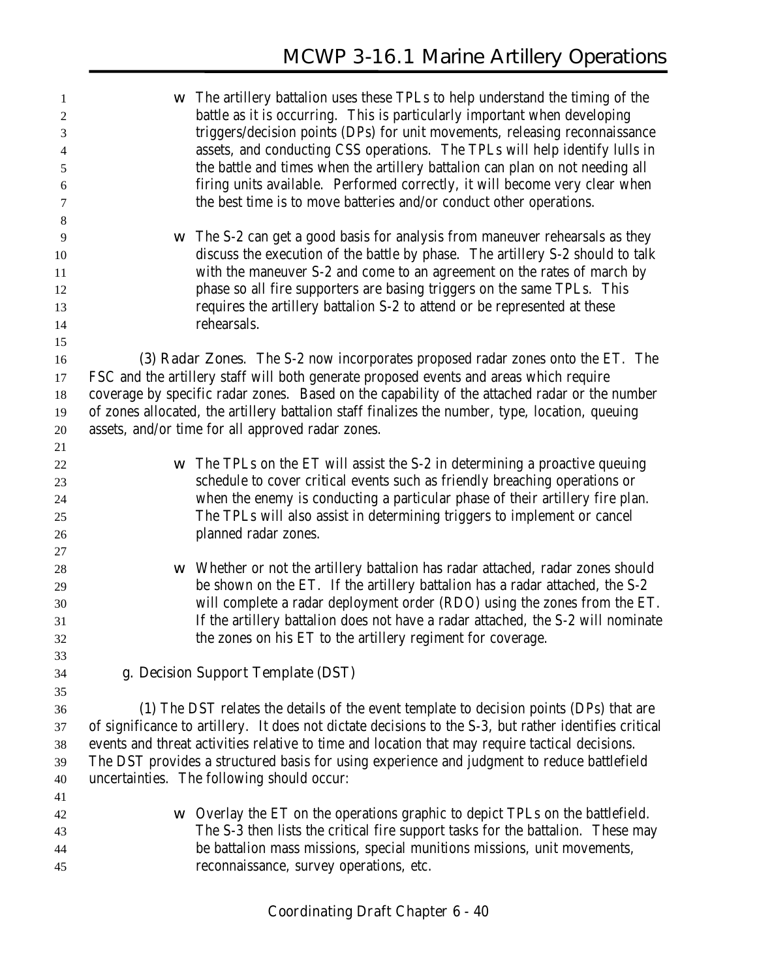| 1<br>$\boldsymbol{2}$<br>3<br>$\overline{4}$<br>$\sqrt{5}$<br>6 | W | The artillery battalion uses these TPLs to help understand the timing of the<br>battle as it is occurring. This is particularly important when developing<br>triggers/decision points (DPs) for unit movements, releasing reconnaissance<br>assets, and conducting CSS operations. The TPLs will help identify lulls in<br>the battle and times when the artillery battalion can plan on not needing all<br>firing units available. Performed correctly, it will become very clear when |
|-----------------------------------------------------------------|---|-----------------------------------------------------------------------------------------------------------------------------------------------------------------------------------------------------------------------------------------------------------------------------------------------------------------------------------------------------------------------------------------------------------------------------------------------------------------------------------------|
| 7                                                               |   | the best time is to move batteries and/or conduct other operations.                                                                                                                                                                                                                                                                                                                                                                                                                     |
| $\,8\,$                                                         |   | The S-2 can get a good basis for analysis from maneuver rehearsals as they                                                                                                                                                                                                                                                                                                                                                                                                              |
| 9<br>10                                                         | W | discuss the execution of the battle by phase. The artillery S-2 should to talk                                                                                                                                                                                                                                                                                                                                                                                                          |
| 11                                                              |   | with the maneuver S-2 and come to an agreement on the rates of march by                                                                                                                                                                                                                                                                                                                                                                                                                 |
| 12                                                              |   | phase so all fire supporters are basing triggers on the same TPLs. This                                                                                                                                                                                                                                                                                                                                                                                                                 |
| 13                                                              |   | requires the artillery battalion S-2 to attend or be represented at these                                                                                                                                                                                                                                                                                                                                                                                                               |
| 14                                                              |   | rehearsals.                                                                                                                                                                                                                                                                                                                                                                                                                                                                             |
| 15                                                              |   |                                                                                                                                                                                                                                                                                                                                                                                                                                                                                         |
| 16                                                              |   | (3) Radar Zones. The S-2 now incorporates proposed radar zones onto the ET. The                                                                                                                                                                                                                                                                                                                                                                                                         |
| 17                                                              |   | FSC and the artillery staff will both generate proposed events and areas which require                                                                                                                                                                                                                                                                                                                                                                                                  |
| 18                                                              |   | coverage by specific radar zones. Based on the capability of the attached radar or the number                                                                                                                                                                                                                                                                                                                                                                                           |
| 19                                                              |   | of zones allocated, the artillery battalion staff finalizes the number, type, location, queuing                                                                                                                                                                                                                                                                                                                                                                                         |
| 20                                                              |   | assets, and/or time for all approved radar zones.                                                                                                                                                                                                                                                                                                                                                                                                                                       |
| 21                                                              |   |                                                                                                                                                                                                                                                                                                                                                                                                                                                                                         |
| 22                                                              | W | The TPLs on the ET will assist the S-2 in determining a proactive queuing                                                                                                                                                                                                                                                                                                                                                                                                               |
| 23                                                              |   | schedule to cover critical events such as friendly breaching operations or                                                                                                                                                                                                                                                                                                                                                                                                              |
| 24<br>25                                                        |   | when the enemy is conducting a particular phase of their artillery fire plan.<br>The TPLs will also assist in determining triggers to implement or cancel                                                                                                                                                                                                                                                                                                                               |
| 26                                                              |   | planned radar zones.                                                                                                                                                                                                                                                                                                                                                                                                                                                                    |
| 27                                                              |   |                                                                                                                                                                                                                                                                                                                                                                                                                                                                                         |
| 28                                                              | W | Whether or not the artillery battalion has radar attached, radar zones should                                                                                                                                                                                                                                                                                                                                                                                                           |
| 29                                                              |   | be shown on the ET. If the artillery battalion has a radar attached, the S-2                                                                                                                                                                                                                                                                                                                                                                                                            |
| 30                                                              |   | will complete a radar deployment order (RDO) using the zones from the ET.                                                                                                                                                                                                                                                                                                                                                                                                               |
| 31                                                              |   | If the artillery battalion does not have a radar attached, the S-2 will nominate                                                                                                                                                                                                                                                                                                                                                                                                        |
| 32                                                              |   | the zones on his ET to the artillery regiment for coverage                                                                                                                                                                                                                                                                                                                                                                                                                              |
| 33                                                              |   |                                                                                                                                                                                                                                                                                                                                                                                                                                                                                         |
| 34                                                              |   | g. Decision Support Template (DST)                                                                                                                                                                                                                                                                                                                                                                                                                                                      |
| 35                                                              |   |                                                                                                                                                                                                                                                                                                                                                                                                                                                                                         |
| 36                                                              |   | (1) The DST relates the details of the event template to decision points (DPs) that are                                                                                                                                                                                                                                                                                                                                                                                                 |
| 37                                                              |   | of significance to artillery. It does not dictate decisions to the S-3, but rather identifies critical                                                                                                                                                                                                                                                                                                                                                                                  |
| 38                                                              |   | events and threat activities relative to time and location that may require tactical decisions.                                                                                                                                                                                                                                                                                                                                                                                         |
| 39                                                              |   | The DST provides a structured basis for using experience and judgment to reduce battlefield                                                                                                                                                                                                                                                                                                                                                                                             |
| 40                                                              |   | uncertainties. The following should occur:                                                                                                                                                                                                                                                                                                                                                                                                                                              |
| 41<br>42                                                        | W | Overlay the ET on the operations graphic to depict TPLs on the battlefield.                                                                                                                                                                                                                                                                                                                                                                                                             |
| 43                                                              |   | The S-3 then lists the critical fire support tasks for the battalion. These may                                                                                                                                                                                                                                                                                                                                                                                                         |
| 44                                                              |   | be battalion mass missions, special munitions missions, unit movements,                                                                                                                                                                                                                                                                                                                                                                                                                 |
| 45                                                              |   | reconnaissance, survey operations, etc.                                                                                                                                                                                                                                                                                                                                                                                                                                                 |
|                                                                 |   |                                                                                                                                                                                                                                                                                                                                                                                                                                                                                         |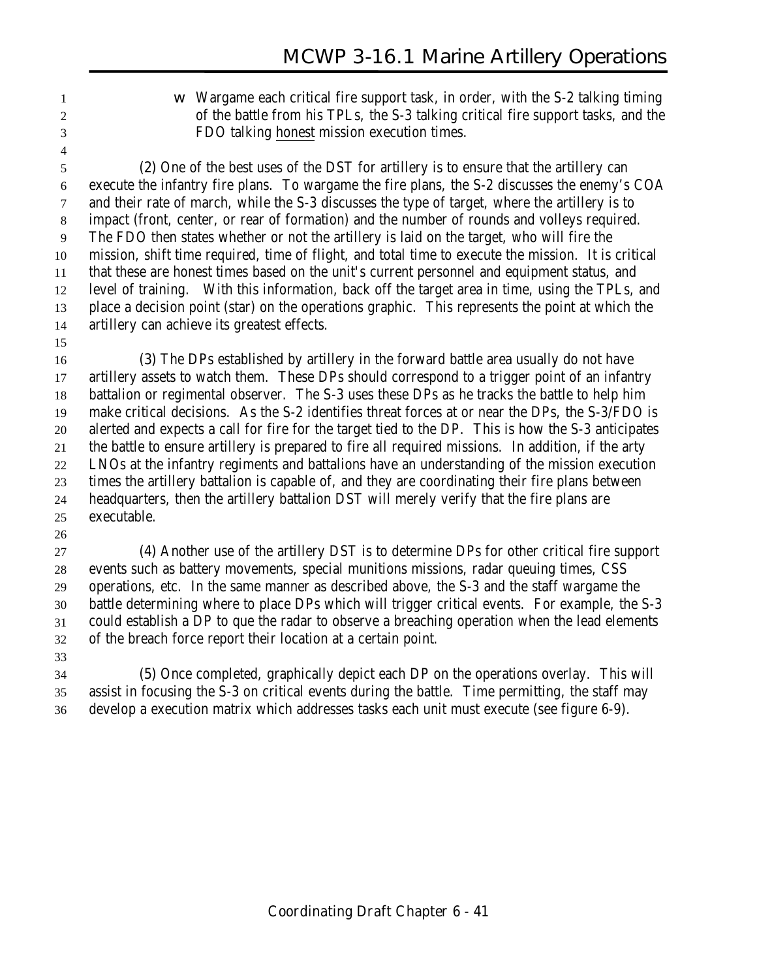w Wargame each critical fire support task, in order, with the S-2 talking timing of the battle from his TPLs, the S-3 talking critical fire support tasks, and the FDO talking honest mission execution times.

 **(2)** One of the best uses of the DST for artillery is to ensure that the artillery can execute the infantry fire plans. To wargame the fire plans, the S-2 discusses the enemy's COA and their rate of march, while the S-3 discusses the type of target, where the artillery is to impact (front, center, or rear of formation) and the number of rounds and volleys required. The FDO then states whether or not the artillery is laid on the target, who will fire the mission, shift time required, time of flight, and total time to execute the mission. It is critical that these are honest times based on the unit's current personnel and equipment status, and level of training. With this information, back off the target area in time, using the TPLs, and place a decision point (star) on the operations graphic. This represents the point at which the artillery can achieve its greatest effects.

 **(3)** The DPs established by artillery in the forward battle area usually do not have artillery assets to watch them. These DPs should correspond to a trigger point of an infantry battalion or regimental observer. The S-3 uses these DPs as he tracks the battle to help him make critical decisions. As the S-2 identifies threat forces at or near the DPs, the S-3/FDO is alerted and expects a call for fire for the target tied to the DP. This is how the S-3 anticipates the battle to ensure artillery is prepared to fire all required missions. In addition, if the arty LNOs at the infantry regiments and battalions have an understanding of the mission execution times the artillery battalion is capable of, and they are coordinating their fire plans between headquarters, then the artillery battalion DST will merely verify that the fire plans are executable.

 **(4)** Another use of the artillery DST is to determine DPs for other critical fire support events such as battery movements, special munitions missions, radar queuing times, CSS operations, etc. In the same manner as described above, the S-3 and the staff wargame the battle determining where to place DPs which will trigger critical events. For example, the S-3 could establish a DP to que the radar to observe a breaching operation when the lead elements of the breach force report their location at a certain point.

 **(5)** Once completed, graphically depict each DP on the operations overlay. This will assist in focusing the S-3 on critical events during the battle. Time permitting, the staff may develop a execution matrix which addresses tasks each unit must execute (see figure 6-9).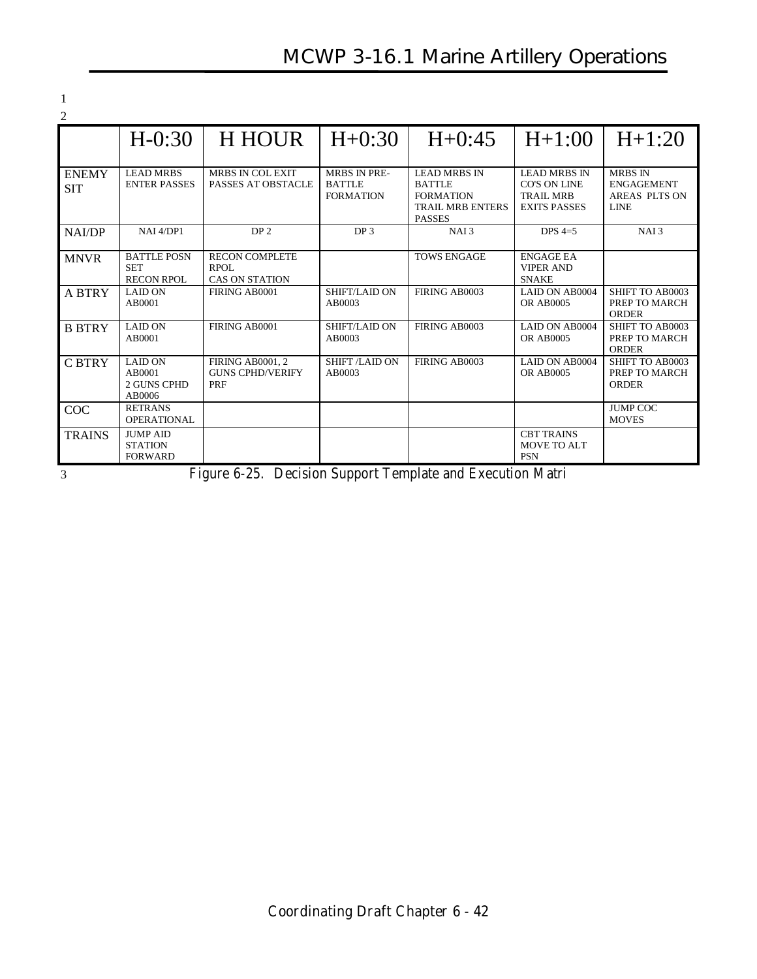# **MCWP 3-16.1 Marine Artillery Operations**

1

| $\overline{2}$             |                                                       |                                                               |                                                          |                                                                                                      |                                                                                       |                                                                     |
|----------------------------|-------------------------------------------------------|---------------------------------------------------------------|----------------------------------------------------------|------------------------------------------------------------------------------------------------------|---------------------------------------------------------------------------------------|---------------------------------------------------------------------|
|                            | $H - 0:30$                                            | <b>H HOUR</b>                                                 | $H+0:30$                                                 | $H + 0:45$                                                                                           | $H+1:00$                                                                              | $H+1:20$                                                            |
| <b>ENEMY</b><br><b>SIT</b> | <b>LEAD MRBS</b><br><b>ENTER PASSES</b>               | <b>MRBS IN COL EXIT</b><br>PASSES AT OBSTACLE                 | <b>MRBS IN PRE-</b><br><b>BATTLE</b><br><b>FORMATION</b> | <b>LEAD MRBS IN</b><br><b>BATTLE</b><br><b>FORMATION</b><br><b>TRAIL MRB ENTERS</b><br><b>PASSES</b> | <b>LEAD MRBS IN</b><br><b>CO'S ON LINE</b><br><b>TRAIL MRB</b><br><b>EXITS PASSES</b> | <b>MRBS IN</b><br><b>ENGAGEMENT</b><br>AREAS PLTS ON<br><b>LINE</b> |
| NAI/DP                     | NAI 4/DP1                                             | DP <sub>2</sub>                                               | DP <sub>3</sub>                                          | NAI <sub>3</sub>                                                                                     | DPS $4=5$                                                                             | NAI <sub>3</sub>                                                    |
| <b>MNVR</b>                | <b>BATTLE POSN</b><br><b>SET</b><br><b>RECON RPOL</b> | <b>RECON COMPLETE</b><br><b>RPOL</b><br><b>CAS ON STATION</b> |                                                          | <b>TOWS ENGAGE</b>                                                                                   | <b>ENGAGE EA</b><br><b>VIPER AND</b><br><b>SNAKE</b>                                  |                                                                     |
| <b>ABTRY</b>               | <b>LAID ON</b><br>AB0001                              | FIRING AB0001                                                 | SHIFT/LAID ON<br>AB0003                                  | FIRING AB0003                                                                                        | <b>LAID ON AB0004</b><br><b>OR AB0005</b>                                             | SHIFT TO AB0003<br>PREP TO MARCH<br><b>ORDER</b>                    |
| <b>B BTRY</b>              | <b>LAID ON</b><br>AB0001                              | FIRING AB0001                                                 | SHIFT/LAID ON<br>AB0003                                  | FIRING AB0003                                                                                        | LAID ON AB0004<br><b>OR AB0005</b>                                                    | SHIFT TO AB0003<br>PREP TO MARCH<br><b>ORDER</b>                    |
| C BTRY                     | <b>LAID ON</b><br>AB0001<br>2 GUNS CPHD<br>AB0006     | <b>FIRING AB0001, 2</b><br><b>GUNS CPHD/VERIFY</b><br>PRF     | <b>SHIFT /LAID ON</b><br>AB0003                          | FIRING AB0003                                                                                        | LAID ON AB0004<br><b>OR AB0005</b>                                                    | SHIFT TO AB0003<br>PREP TO MARCH<br><b>ORDER</b>                    |
| COC                        | <b>RETRANS</b><br><b>OPERATIONAL</b>                  |                                                               |                                                          |                                                                                                      |                                                                                       | <b>JUMP COC</b><br><b>MOVES</b>                                     |
| <b>TRAINS</b>              | <b>JUMP AID</b><br><b>STATION</b><br><b>FORWARD</b>   |                                                               |                                                          |                                                                                                      | <b>CBT TRAINS</b><br><b>MOVE TO ALT</b><br><b>PSN</b>                                 |                                                                     |

3 Figure 6-25. Decision Support Template and Execution Matri